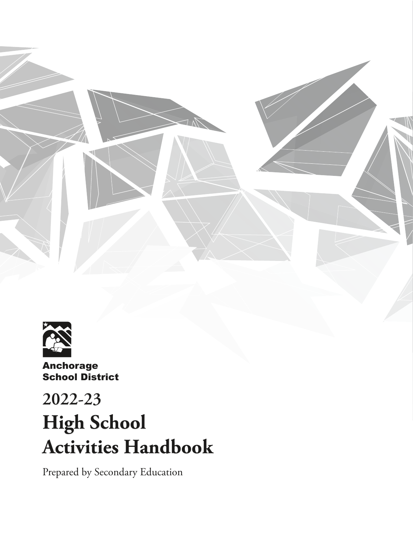



Anchorage School District

## **2022-23 High School Activities Handbook**

Prepared by Secondary Education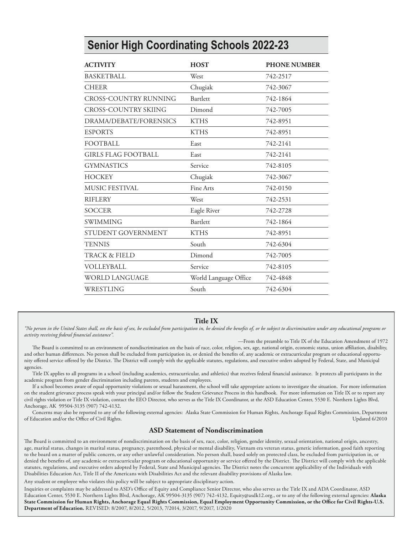| <b>ACTIVITY</b>              | <b>HOST</b>           | <b>PHONE NUMBER</b> |
|------------------------------|-----------------------|---------------------|
| <b>BASKETBALL</b>            | West                  | 742-2517            |
| <b>CHEER</b>                 | Chugiak               | 742-3067            |
| <b>CROSS-COUNTRY RUNNING</b> | Bartlett              | 742-1864            |
| <b>CROSS-COUNTRY SKIING</b>  | Dimond                | 742-7005            |
| DRAMA/DEBATE/FORENSICS       | <b>KTHS</b>           | 742-8951            |
| <b>ESPORTS</b>               | <b>KTHS</b>           | 742-8951            |
| <b>FOOTBALL</b>              | East                  | 742-2141            |
| <b>GIRLS FLAG FOOTBALL</b>   | East                  | 742-2141            |
| <b>GYMNASTICS</b>            | Service               | 742-8105            |
| <b>HOCKEY</b>                | Chugiak               | 742-3067            |
| MUSIC FESTIVAL               | Fine Arts             | 742-0150            |
| <b>RIFLERY</b>               | West                  | 742-2531            |
| <b>SOCCER</b>                | Eagle River           | 742-2728            |
| <b>SWIMMING</b>              | Bartlett              | 742-1864            |
| STUDENT GOVERNMENT           | <b>KTHS</b>           | 742-8951            |
| <b>TENNIS</b>                | South                 | 742-6304            |
| <b>TRACK &amp; FIELD</b>     | Dimond                | 742-7005            |
| VOLLEYBALL                   | Service               | 742-8105            |
| <b>WORLD LANGUAGE</b>        | World Language Office | 742-4848            |
| WRESTLING                    | South                 | 742-6304            |

## <span id="page-1-0"></span>**Senior High Coordinating Schools 2022-23**

#### **Title IX**

*"No person in the United States shall, on the basis of sex, be excluded from participation in, be denied the benefits of, or be subject to discrimination under any educational programs or activity receiving federal financial assistance".*

—From the preamble to Title IX of the Education Amendment of 1972

The Board is committed to an environment of nondiscrimination on the basis of race, color, religion, sex, age, national origin, economic status, union affiliation, disability, and other human differences. No person shall be excluded from participation in, or denied the benefits of, any academic or extracurricular program or educational opportunity offered service offered by the District. The District will comply with the applicable statutes, regulations, and executive orders adopted by Federal, State, and Municipal agencies.

Title IX applies to all programs in a school (including academics, extracurricular, and athletics) that receives federal financial assistance. It protects all participants in the academic program from gender discrimination including parents, students and employees.

If a school becomes aware of equal opportunity violations or sexual harassment, the school will take appropriate actions to investigate the situation. For more information on the student grievance process speak with your principal and/or follow the Student Grievance Process in this handbook. For more information on Title IX or to report any civil rights violation or Title IX violation, contact the EEO Director, who serves as the Title IX Coordinator, at the ASD Education Center, 5530 E. Northern Lights Blvd, Anchorage, AK 99504-3135 (907) 742-4132.

Concerns may also be reported to any of the following external agencies: Alaska State Commission for Human Rights, Anchorage Equal Rights Commission, Department of Education and/or the Office of Civil Rights. Updated 6/2010

#### **ASD Statement of Nondiscrimination**

The Board is committed to an environment of nondiscrimination on the basis of sex, race, color, religion, gender identity, sexual orientation, national origin, ancestry, age, marital status, changes in marital status, pregnancy, parenthood, physical or mental disability, Vietnam era veteran status, genetic information, good faith reporting to the board on a matter of public concern, or any other unlawful consideration. No person shall, based solely on protected class, be excluded from participation in, or denied the benefits of, any academic or extracurricular program or educational opportunity or service offered by the District. The District will comply with the applicable statutes, regulations, and executive orders adopted by Federal, State and Municipal agencies. The District notes the concurrent applicability of the Individuals with Disabilities Education Act, Title II of the Americans with Disabilities Act and the relevant disability provisions of Alaska law.

Any student or employee who violates this policy will be subject to appropriate disciplinary action.

Inquiries or complaints may be addressed to ASD's Office of Equity and Compliance Senior Director, who also serves as the Title IX and ADA Coordinator, ASD Education Center, 5530 E. Northern Lights Blvd, Anchorage, AK 99504-3135 (907) 742-4132, Equity@asdk12.org., or to any of the following external agencies: **Alaska State Commission for Human Rights, Anchorage Equal Rights Commission, Equal Employment Opportunity Commission, or the Office for Civil Rights-U.S. Department of Education.** REVISED: 8/2007, 8/2012, 5/2013, 7/2014, 3/2017, 9/2017, 1/2020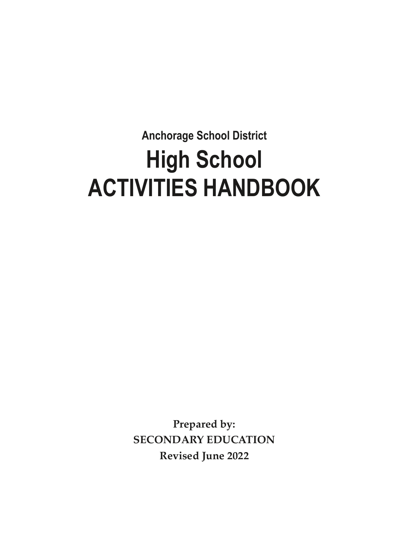**Anchorage School District**

## **High School ACTIVITIES HANDBOOK**

**Prepared by: SECONDARY EDUCATION Revised June 2022**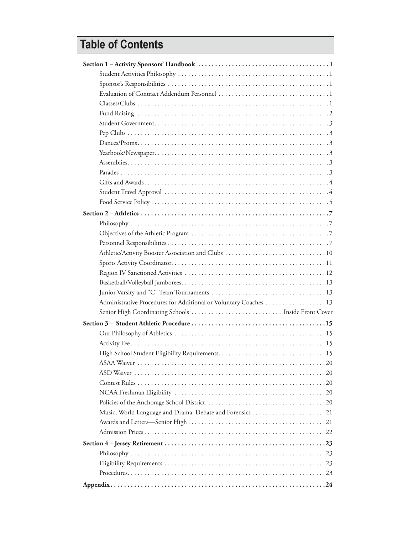## **Table of Contents**

| Administrative Procedures for Additional or Voluntary Coaches 13 |  |
|------------------------------------------------------------------|--|
| Senior High Coordinating Schools  Inside Front Cover             |  |
|                                                                  |  |
|                                                                  |  |
|                                                                  |  |
|                                                                  |  |
|                                                                  |  |
|                                                                  |  |
|                                                                  |  |
|                                                                  |  |
|                                                                  |  |
|                                                                  |  |
|                                                                  |  |
|                                                                  |  |
|                                                                  |  |
|                                                                  |  |
|                                                                  |  |
|                                                                  |  |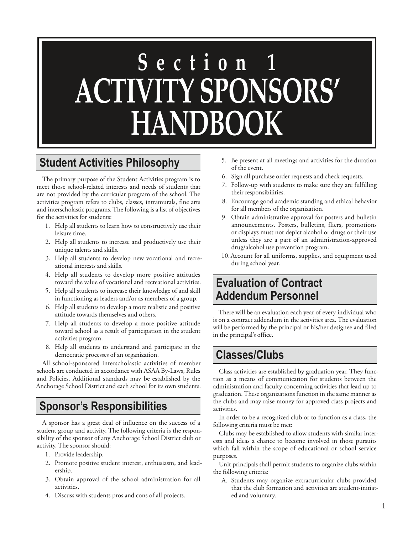# <span id="page-6-0"></span>**Section 1 ACTIVITY SPONSORS' HANDBOOK**

## **Student Activities Philosophy**

The primary purpose of the Student Activities program is to meet those school-related interests and needs of students that are not provided by the curricular program of the school. The activities program refers to clubs, classes, intramurals, fine arts and interscholastic programs. The following is a list of objectives for the activities for students:

- 1. Help all students to learn how to constructively use their leisure time.
- 2. Help all students to increase and productively use their unique talents and skills.
- 3. Help all students to develop new vocational and recreational interests and skills.
- 4. Help all students to develop more positive attitudes toward the value of vocational and recreational activities.
- 5. Help all students to increase their knowledge of and skill in functioning as leaders and/or as members of a group.
- 6. Help all students to develop a more realistic and positive attitude towards themselves and others.
- 7. Help all students to develop a more positive attitude toward school as a result of participation in the student activities program.
- 8. Help all students to understand and participate in the democratic processes of an organization.

All school-sponsored interscholastic activities of member schools are conducted in accordance with ASAA By-Laws, Rules and Policies. Additional standards may be established by the Anchorage School District and each school for its own students.

## **Sponsor's Responsibilities**

A sponsor has a great deal of influence on the success of a student group and activity. The following criteria is the responsibility of the sponsor of any Anchorage School District club or activity. The sponsor should:

- 1. Provide leadership.
- 2. Promote positive student interest, enthusiasm, and leadership.
- 3. Obtain approval of the school administration for all activities.
- 4. Discuss with students pros and cons of all projects.
- 5. Be present at all meetings and activities for the duration of the event.
- 6. Sign all purchase order requests and check requests.
- 7. Follow-up with students to make sure they are fulfilling their responsibilities.
- 8. Encourage good academic standing and ethical behavior for all members of the organization.
- 9. Obtain administrative approval for posters and bulletin announcements. Posters, bulletins, fliers, promotions or displays must not depict alcohol or drugs or their use unless they are a part of an administration-approved drug/alcohol use prevention program.
- 10.Account for all uniforms, supplies, and equipment used during school year.

## **Evaluation of Contract Addendum Personnel**

There will be an evaluation each year of every individual who is on a contract addendum in the activities area. The evaluation will be performed by the principal or his/her designee and filed in the principal's office.

## **Classes/Clubs**

Class activities are established by graduation year. They function as a means of communication for students between the administration and faculty concerning activities that lead up to graduation. These organizations function in the same manner as the clubs and may raise money for approved class projects and activities.

In order to be a recognized club or to function as a class, the following criteria must be met:

Clubs may be established to allow students with similar interests and ideas a chance to become involved in those pursuits which fall within the scope of educational or school service purposes.

Unit principals shall permit students to organize clubs within the following criteria:

A. Students may organize extracurricular clubs provided that the club formation and activities are student-initiated and voluntary.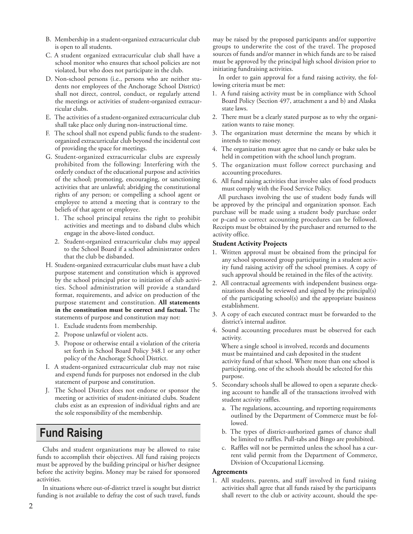- <span id="page-7-0"></span>B. Membership in a student-organized extracurricular club is open to all students.
- C. A student organized extracurricular club shall have a school monitor who ensures that school policies are not violated, but who does not participate in the club.
- D. Non-school persons (i.e., persons who are neither students nor employees of the Anchorage School District) shall not direct, control, conduct, or regularly attend the meetings or activities of student-organized extracurricular clubs.
- E. The activities of a student-organized extracurricular club shall take place only during non-instructional time.
- F. The school shall not expend public funds to the studentorganized extracurricular club beyond the incidental cost of providing the space for meetings.
- G. Student-organized extracurricular clubs are expressly prohibited from the following: Interfering with the orderly conduct of the educational purpose and activities of the school; promoting, encouraging, or sanctioning activities that are unlawful; abridging the constitutional rights of any person; or compelling a school agent or employee to attend a meeting that is contrary to the beliefs of that agent or employee.
	- 1. The school principal retains the right to prohibit activities and meetings and to disband clubs which engage in the above-listed conduct.
	- 2. Student-organized extracurricular clubs may appeal to the School Board if a school administrator orders that the club be disbanded.
- H. Student-organized extracurricular clubs must have a club purpose statement and constitution which is approved by the school principal prior to initiation of club activities. School administration will provide a standard format, requirements, and advice on production of the purpose statement and constitution. **All statements in the constitution must be correct and factual.** The statements of purpose and constitution may not:
	- 1. Exclude students from membership.
	- 2. Propose unlawful or violent acts.
	- 3. Propose or otherwise entail a violation of the criteria set forth in School Board Policy 348.1 or any other policy of the Anchorage School District.
- I. A student-organized extracurricular club may not raise and expend funds for purposes not endorsed in the club statement of purpose and constitution.
- J. The School District does not endorse or sponsor the meeting or activities of student-initiated clubs. Student clubs exist as an expression of individual rights and are the sole responsibility of the membership.

## **Fund Raising**

Clubs and student organizations may be allowed to raise funds to accomplish their objectives. All fund raising projects must be approved by the building principal or his/her designee before the activity begins. Money may be raised for sponsored activities.

In situations where out-of-district travel is sought but district funding is not available to defray the cost of such travel, funds may be raised by the proposed participants and/or supportive groups to underwrite the cost of the travel. The proposed sources of funds and/or manner in which funds are to be raised must be approved by the principal high school division prior to initiating fundraising activities.

In order to gain approval for a fund raising activity, the following criteria must be met:

- 1. A fund raising activity must be in compliance with School Board Policy (Section 497, attachment a and b) and Alaska state laws.
- 2. There must be a clearly stated purpose as to why the organization wants to raise money.
- 3. The organization must determine the means by which it intends to raise money.
- 4. The organization must agree that no candy or bake sales be held in competition with the school lunch program.
- 5. The organization must follow correct purchasing and accounting procedures.
- 6. All fund raising activities that involve sales of food products must comply with the Food Service Policy.

All purchases involving the use of student body funds will be approved by the principal and organization sponsor. Each purchase will be made using a student body purchase order or p-card so correct accounting procedures can be followed. Receipts must be obtained by the purchaser and returned to the activity office.

#### **Student Activity Projects**

- 1. Written approval must be obtained from the principal for any school sponsored group participating in a student activity fund raising activity off the school premises. A copy of such approval should be retained in the files of the activity.
- 2. All contractual agreements with independent business organizations should be reviewed and signed by the principal(s) of the participating school(s) and the appropriate business establishment.
- 3. A copy of each executed contract must be forwarded to the district's internal auditor.
- 4. Sound accounting procedures must be observed for each activity.

Where a single school is involved, records and documents must be maintained and cash deposited in the student activity fund of that school. Where more than one school is participating, one of the schools should be selected for this purpose.

- 5. Secondary schools shall be allowed to open a separate checking account to handle all of the transactions involved with student activity raffles.
	- a. The regulations, accounting, and reporting requirements outlined by the Department of Commerce must be followed.
	- b. The types of district-authorized games of chance shall be limited to raffles. Pull-tabs and Bingo are prohibited.
	- c. Raffles will not be permitted unless the school has a current valid permit from the Department of Commerce, Division of Occupational Licensing.

#### **Agreements**

1. All students, parents, and staff involved in fund raising activities shall agree that all funds raised by the participants shall revert to the club or activity account, should the spe-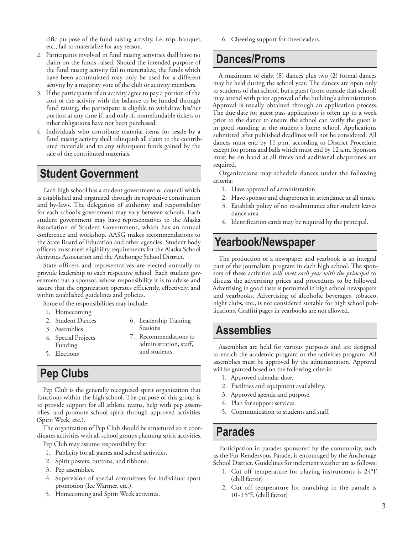<span id="page-8-0"></span>cific purpose of the fund raising activity, i.e. trip, banquet, etc., fail to materialize for any reason.

- 2. Participants involved in fund raising activities shall have no claim on the funds raised. Should the intended purpose of the fund raising activity fail to materialize, the funds which have been accumulated may only be used for a different activity by a majority vote of the club or activity members.
- 3. If the participants of an activity agree to pay a portion of the cost of the activity with the balance to be funded through fund raising, the participant is eligible to withdraw his/her portion at any time if, and only if, nonrefundable tickets or other obligations have not been purchased.
- 4. Individuals who contribute material items for resale by a fund raising activity shall relinquish all claim to the contributed materials and to any subsequent funds gained by the sale of the contributed materials.

### **Student Government**

Each high school has a student government or council which is established and organized through its respective constitution and by-laws. The delegation of authority and responsibility for each school's government may vary between schools. Each student government may have representatives to the Alaska Association of Student Government, which has an annual conference and workshop. AASG makes recommendations to the State Board of Education and other agencies. Student body officers must meet eligibility requirements for the Alaska School Activities Association and the Anchorage School District.

State officers and representatives are elected annually to provide leadership to each respective school. Each student government has a sponsor, whose responsibility it is to advise and assure that the organization operates efficiently, effectively, and within established guidelines and policies.

Some of the responsibilities may include:

- 1. Homecoming
- 2. Student Dances
- 3. Assemblies
- 4. Special Projects
- Funding 5. Elections
- 6. Leadership Training Sessions
- 7. Recommendations to administration, staff, and students.

## **Pep Clubs**

Pep Club is the generally recognized spirit organization that functions within the high school. The purpose of this group is to provide support for all athletic teams, help with pep assemblies, and promote school spirit through approved activities (Spirit Week, etc.).

The organization of Pep Club should be structured so it coordinates activities with all school groups planning spirit activities.

Pep Club may assume responsibility for:

- 1. Publicity for all games and school activities.
- 2. Spirit posters, buttons, and ribbons.
- 3. Pep assemblies.
- 4. Supervision of special committees for individual sport promotion (Ice Warmer, etc.).
- 5. Homecoming and Spirit Week activities.

6. Cheering support for cheerleaders.

### **Dances/Proms**

A maximum of eight (8) dances plus two (2) formal dances may be held during the school year. The dances are open only to students of that school, but a guest (from outside that school) may attend with prior approval of the building's administration. Approval is usually obtained through an application process. The due date for guest pass applications is often up to a week prior to the dance to ensure the school can verify the guest is in good standing at the student's home school. Applications submitted after published deadlines will not be considered. All dances must end by 11 p.m. according to District Procedure, except for proms and balls which must end by 12 a.m. Sponsors must be on hand at all times and additional chaperones are required.

Organizations may schedule dances under the following criteria:

- 1. Have approval of administration.
- 2. Have sponsor and chaperones in attendance at all times.
- 3. Establish policy of no re-admittance after student leaves dance area.
- 4. Identification cards may be required by the principal.

## **Yearbook/Newspaper**

The production of a newspaper and yearbook is an integral part of the journalism program in each high school. The sponsors of these activities *will meet each year with the principal* to discuss the advertising prices and procedures to be followed. Advertising in good taste is permitted in high school newspapers and yearbooks. Advertising of alcoholic beverages, tobacco, night clubs, etc., is not considered suitable for high school publications. Graffiti pages in yearbooks are not allowed.

## **Assemblies**

Assemblies are held for various purposes and are designed to enrich the academic program or the activities program. All assemblies must be approved by the administration. Approval will be granted based on the following criteria:

- 1. Approved calendar date.
- 2. Facilities and equipment availability.
- 3. Approved agenda and purpose.
- 4. Plan for support services.
- 5. Communication to students and staff.

## **Parades**

Participation in parades sponsored by the community, such as the Fur Rendezvous Parade, is encouraged by the Anchorage School District. Guidelines for inclement weather are as follows:

- 1. Cut off temperature for playing instruments is 24°F. (chill factor)
- 2. Cut off temperature for marching in the parade is 10-15°F. (chill factor)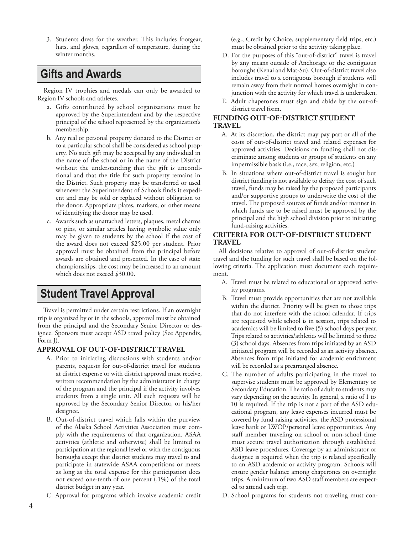<span id="page-9-0"></span>3. Students dress for the weather. This includes footgear, hats, and gloves, regardless of temperature, during the winter months.

## **Gifts and Awards**

Region IV trophies and medals can only be awarded to Region IV schools and athletes.

- a. Gifts contributed by school organizations must be approved by the Superintendent and by the respective principal of the school represented by the organization's membership.
- b. Any real or personal property donated to the District or to a particular school shall be considered as school property. No such gift may be accepted by any individual in the name of the school or in the name of the District without the understanding that the gift is unconditional and that the title for such property remains in the District. Such property may be transferred or used whenever the Superintendent of Schools finds it expedient and may be sold or replaced without obligation to the donor. Appropriate plates, markers, or other means of identifying the donor may be used.
- c. Awards such as unattached letters, plaques, metal charms or pins, or similar articles having symbolic value only may be given to students by the school if the cost of the award does not exceed \$25.00 per student. Prior approval must be obtained from the principal before awards are obtained and presented. In the case of state championships, the cost may be increased to an amount which does not exceed \$30.00.

## **Student Travel Approval**

Travel is permitted under certain restrictions. If an overnight trip is organized by or in the schools, approval must be obtained from the principal and the Secondary Senior Director or designee. Sponsors must accept ASD travel policy (See Appendix, Form I).

#### **APPROVAL OF OUT-OF-DISTRICT TRAVEL**

- A. Prior to initiating discussions with students and/or parents, requests for out-of-district travel for students at district expense or with district approval must receive, written recommendation by the administrator in charge of the program and the principal if the activity involves students from a single unit. All such requests will be approved by the Secondary Senior Director, or his/her designee.
- B. Out-of-district travel which falls within the purview of the Alaska School Activities Association must comply with the requirements of that organization. ASAA activities (athletic and otherwise) shall be limited to participation at the regional level or with the contiguous boroughs except that district students may travel to and participate in statewide ASAA competitions or meets as long as the total expense for this participation does not exceed one-tenth of one percent (.1%) of the total district budget in any year.
- C. Approval for programs which involve academic credit

(e.g., Credit by Choice, supplementary field trips, etc.) must be obtained prior to the activity taking place.

- D. For the purposes of this "out-of-district'' travel is travel by any means outside of Anchorage or the contiguous boroughs (Kenai and Mat-Su). Out-of-district travel also includes travel to a contiguous borough if students will remain away from their normal homes overnight in conjunction with the activity for which travel is undertaken.
- E. Adult chaperones must sign and abide by the out-ofdistrict travel form.

#### **FUNDING OUT-OF-DISTRICT STUDENT TRAVEL**

- A. At its discretion, the district may pay part or all of the costs of out-of-district travel and related expenses for approved activities. Decisions on funding shall not discriminate among students or groups of students on any impermissible basis (i.e., race, sex, religion, etc.)
- B. In situations where out-of-district travel is sought but district funding is not available to defray the cost of such travel, funds may be raised by the proposed participants and/or supportive groups to underwrite the cost of the travel. The proposed sources of funds and/or manner in which funds are to be raised must be approved by the principal and the high school division prior to initiating fund-raising activities.

#### **CRITERIA FOR OUT-OF-DISTRICT STUDENT TRAVEL**

All decisions relative to approval of out-of-district student travel and the funding for such travel shall be based on the following criteria. The application must document each requirement.

- A. Travel must be related to educational or approved activity programs.
- B. Travel must provide opportunities that are not available within the district. Priority will be given to those trips that do not interfere with the school calendar. If trips are requested while school is in session, trips related to academics will be limited to five (5) school days per year. Trips related to activities/athletics will be limited to three (3) school days. Absences from trips initiated by an ASD initiated program will be recorded as an activity absence. Absences from trips initiated for academic enrichment will be recorded as a prearranged absence.
- C. The number of adults participating in the travel to supervise students must be approved by Elementary or Secondary Education. The ratio of adult to students may vary depending on the activity. In general, a ratio of 1 to 10 is required. If the trip is not a part of the ASD educational program, any leave expenses incurred must be covered by fund raising activities, the ASD professional leave bank or LWOP/personal leave opportunities. Any staff member traveling on school or non-school time must secure travel authorization through established ASD leave procedures. Coverage by an administrator or designee is required when the trip is related specifically to an ASD academic or activity program. Schools will ensure gender balance among chaperones on overnight trips. A minimum of two ASD staff members are expected to attend each trip.
- D. School programs for students not traveling must con-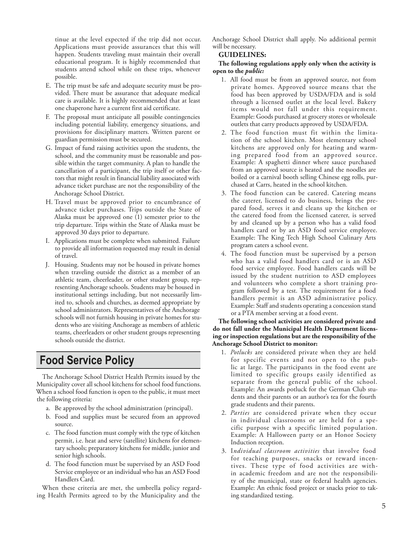<span id="page-10-0"></span>tinue at the level expected if the trip did not occur. Applications must provide assurances that this will happen. Students traveling must maintain their overall educational program. It is highly recommended that students attend school while on these trips, whenever possible.

- E. The trip must be safe and adequate security must be provided. There must be assurance that adequate medical care is available. It is highly recommended that at least one chaperone have a current first aid certificate.
- F. The proposal must anticipate all possible contingencies including potential liability, emergency situations, and provisions for disciplinary matters. Written parent or guardian permission must be secured.
- G. Impact of fund raising activities upon the students, the school, and the community must be reasonable and possible within the target community. A plan to handle the cancellation of a participant, the trip itself or other factors that might result in financial liability associated with advance ticket purchase are not the responsibility of the Anchorage School District.
- H. Travel must be approved prior to encumbrance of advance ticket purchases. Trips outside the State of Alaska must be approved one (1) semester prior to the trip departure. Trips within the State of Alaska must be approved 30 days prior to departure.
- I. Applications must be complete when submitted. Failure to provide all information requested may result in denial of travel.
- J. Housing. Students may not be housed in private homes when traveling outside the district as a member of an athletic team, cheerleader, or other student group, representing Anchorage schools. Students may be housed in institutional settings including, but not necessarily limited to, schools and churches, as deemed appropriate by school administrators. Representatives of the Anchorage schools will not furnish housing in private homes for students who are visiting Anchorage as members of athletic teams, cheerleaders or other student groups representing schools outside the district.

## **Food Service Policy**

The Anchorage School District Health Permits issued by the Municipality cover all school kitchens for school food functions. When a school food function is open to the public, it must meet the following criteria:

- a. Be approved by the school administration (principal).
- b. Food and supplies must be secured from an approved source.
- c. The food function must comply with the type of kitchen permit, i.e. heat and serve (satellite) kitchens for elementary schools; preparatory kitchens for middle, junior and senior high schools.
- d. The food function must be supervised by an ASD Food Service employee or an individual who has an ASD Food Handlers Card.

When these criteria are met, the umbrella policy regarding Health Permits agreed to by the Municipality and the

Anchorage School District shall apply. No additional permit will be necessary.

#### **GUIDELINES:**

**The following regulations apply only when the activity is open to the** *public:*

- 1. All food must be from an approved source, not from private homes. Approved source means that the food has been approved by USDA/FDA and is sold through a licensed outlet at the local level. Bakery items would not fall under this requirement. Example: Goods purchased at grocery stores or wholesale outlets that carry products approved by USDA/FDA.
- 2. The food function must fit within the limitation of the school kitchen. Most elementary school kitchens are approved only for heating and warming prepared food from an approved source. Example: A spaghetti dinner where sauce purchased from an approved source is heated and the noodles are boiled or a carnival booth selling Chinese egg rolls, purchased at Carrs, heated in the school kitchen.
- 3. The food function can be catered. Catering means the caterer, licensed to do business, brings the prepared food, serves it and cleans up the kitchen or the catered food from the licensed caterer, is served by and cleaned up by a person who has a valid food handlers card or by an ASD food service employee. Example: The King Tech High School Culinary Arts program caters a school event.
- 4. The food function must be supervised by a person who has a valid food handlers card or is an ASD food service employee. Food handlers cards will be issued by the student nutrition to ASD employees and volunteers who complete a short training program followed by a test. The requirement for a food handlers permit is an ASD administrative policy. Example: Staff and students operating a concession stand or a PTA member serving at a food event.

**The following school activities are considered private and do not fall under the Municipal Health Department licensing or inspection regulations but are the responsibility of the Anchorage School District to monitor:**

- 1. *Potlucks* are considered private when they are held for specific events and not open to the public at large. The participants in the food event are limited to specific groups easily identified as separate from the general public of the school. Example: An awards potluck for the German Club students and their parents or an author's tea for the fourth grade students and their parents.
- 2. *Parties* are considered private when they occur in individual classrooms or are held for a specific purpose with a specific limited population. Example: A Halloween party or an Honor Society Induction reception.
- 3. I*ndividual classroom activities* that involve food for teaching purposes, snacks or reward incentives. These type of food activities are within academic freedom and are not the responsibility of the municipal, state or federal health agencies. Example: An ethnic food project or snacks prior to taking standardized testing.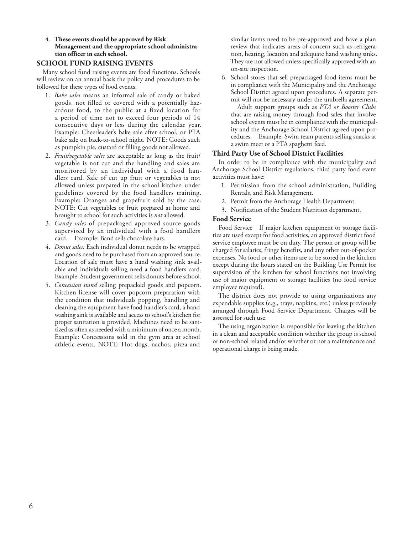#### 4. **These events should be approved by Risk Management and the appropriate school administration officer in each school.**

#### **SCHOOL FUND RAISING EVENTS**

Many school fund raising events are food functions. Schools will review on an annual basis the policy and procedures to be followed for these types of food events.

- 1. *Bake sales* means an informal sale of candy or baked goods, not filled or covered with a potentially hazardous food, to the public at a fixed location for a period of time not to exceed four periods of 14 consecutive days or less during the calendar year. Example: Cheerleader's bake sale after school, or PTA bake sale on back-to-school night. NOTE: Goods such as pumpkin pie, custard or filling goods not allowed.
- 2. *Fruit/vegetable sales* are acceptable as long as the fruit/ vegetable is not cut and the handling and sales are monitored by an individual with a food handlers card. Sale of cut up fruit or vegetables is not allowed unless prepared in the school kitchen under guidelines covered by the food handlers training. Example: Oranges and grapefruit sold by the case. NOTE: Cut vegetables or fruit prepared at home and brought to school for such activities is *not* allowed.
- 3. *Candy sales* of prepackaged approved source goods supervised by an individual with a food handlers card. Example: Band sells chocolate bars.
- 4. *Donut sales:* Each individual donut needs to be wrapped and goods need to be purchased from an approved source. Location of sale must have a hand washing sink available and individuals selling need a food handlers card. Example: Student government sells donuts before school.
- 5. *Concession stand* selling prepacked goods and popcorn. Kitchen license will cover popcorn preparation with the condition that individuals popping, handling and cleaning the equipment have food handler's card, a hand washing sink is available and access to school's kitchen for proper sanitation is provided. Machines need to be sanitized as often as needed with a minimum of once a month. Example: Concessions sold in the gym area at school athletic events. NOTE: Hot dogs, nachos, pizza and

similar items need to be pre-approved and have a plan review that indicates areas of concern such as refrigeration, heating, location and adequate hand washing sinks. They are not allowed unless specifically approved with an on-site inspection.

6. School stores that sell prepackaged food items must be in compliance with the Municipality and the Anchorage School District agreed upon procedures. A separate permit will not be necessary under the umbrella agreement.

 Adult support groups such as *PTA or Booster Clubs*  that are raising money through food sales that involve school events must be in compliance with the municipality and the Anchorage School District agreed upon procedures. Example: Swim team parents selling snacks at a swim meet or a PTA spaghetti feed.

#### **Third Party Use of School District Facilities**

In order to be in compliance with the municipality and Anchorage School District regulations, third party food event activities must have:

- 1. Permission from the school administration, Building Rentals, and Risk Management.
- 2. Permit from the Anchorage Health Department.
- 3. Notification of the Student Nutrition department.

#### **Food Service**

Food Service If major kitchen equipment or storage facilities are used except for food activities, an approved district food service employee must be on duty. The person or group will be charged for salaries, fringe benefits, and any other out-of-pocket expenses. No food or other items are to be stored in the kitchen except during the hours stated on the Building Use Permit for supervision of the kitchen for school functions not involving use of major equipment or storage facilities (no food service employee required).

The district does not provide to using organizations any expendable supplies (e.g., trays, napkins, etc.) unless previously arranged through Food Service Department. Charges will be assessed for such use.

The using organization is responsible for leaving the kitchen in a clean and acceptable condition whether the group is school or non-school related and/or whether or not a maintenance and operational charge is being made.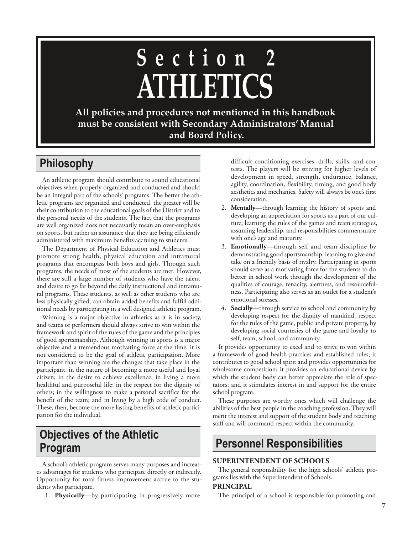## **Section 2 ATHLETICS**

<span id="page-12-0"></span>**All policies and procedures not mentioned in this handbook must be consistent with Secondary Administrators' Manual and Board Policy.**

## **Philosophy**

An athletic program should contribute to sound educational objectives when properly organized and conducted and should be an integral part of the schools' programs. The better the athletic programs are organized and conducted, the greater will be their contribution to the educational goals of the District and to the personal needs of the students. The fact that the programs are well organized does not necessarily mean an over-emphasis on sports, but rather an assurance that they are being efficiently administered with maximum benefits accruing to students.

The Department of Physical Education and Athletics must promote strong health, physical education and intramural programs that encompass both boys and girls. Through such programs, the needs of most of the students are met. However, there are still a large number of students who have the talent and desire to go far beyond the daily instructional and intramural programs. These students, as well as other students who are less physically gifted, can obtain added benefits and fulfill additional needs by participating in a well designed athletic program.

Winning is a major objective in athletics as it is in society, and teams or performers should always strive to win within the framework and spirit of the rules of the game and the principles of good sportsmanship. Although winning in sports is a major objective and a tremendous motivating force at the time, it is not considered to be the goal of athletic participation. More important than winning are the changes that take place in the participant, in the nature of becoming a more useful and loyal citizen; in the desire to achieve excellence; in living a more healthful and purposeful life; in the respect for the dignity of others; in the willingness to make a personal sacrifice for the benefit of the team; and in living by a high code of conduct. These, then, become the more lasting benefits of athletic participation for the individual.

## **Objectives of the Athletic Program**

A school's athletic program serves many purposes and increases advantages for students who participate directly or indirectly. Opportunity for total fitness improvement accrue to the students who participate.

1. **Physically**—by participating in progressively more

difficult conditioning exercises, drills, skills, and contests. The players will be striving for higher levels of development in speed, strength, endurance, balance, agility, coordination, flexibility, timing, and good body aesthetics and mechanics. Safety will always be one's first consideration.

- 2. **Mentally**—through learning the history of sports and developing an appreciation for sports as a part of our culture; learning the rules of the games and team strategies, assuming leadership, and responsibilities commensurate with one's age and maturity.
- 3. **Emotionally**—through self and team discipline by demonstrating good sportsmanship, learning to give and take on a friendly basis of rivalry. Participating in sports should serve as a motivating force for the students to do better in school work through the development of the qualities of courage, tenacity, alertness, and resourcefulness. Participating also serves as an outlet for a student's emotional stresses.
- 4. **Socially**—through service to school and community by developing respect for the dignity of mankind, respect for the rules of the game, public and private property, by developing social courtesies of the game and loyalty to self, team, school, and community.

It provides opportunity to excel and to strive to win within a framework of good health practices and established rules; it contributes to good school spirit and provides opportunities for wholesome competition; it provides an educational device by which the student body can better appreciate the role of spectators; and it stimulates interest in and support for the entire school program.

These purposes are worthy ones which will challenge the abilities of the best people in the coaching profession. They will merit the interest and support of the student body and teaching staff and will command respect within the community.

## **Personnel Responsibilities**

#### **SUPERINTENDENT OF SCHOOLS**

The general responsibility for the high schools' athletic programs lies with the Superintendent of Schools.

#### **PRINCIPAL**

The principal of a school is responsible for promoting and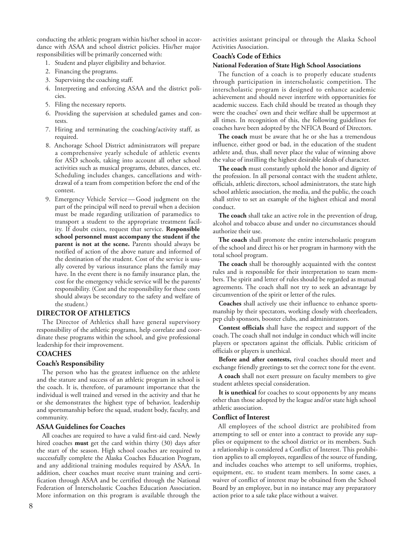conducting the athletic program within his/her school in accordance with ASAA and school district policies. His/her major responsibilities will be primarily concerned with:

- 1. Student and player eligibility and behavior.
- 2. Financing the programs.
- 3. Supervising the coaching staff.
- 4. Interpreting and enforcing ASAA and the district policies.
- 5. Filing the necessary reports.
- 6. Providing the supervision at scheduled games and contests.
- 7. Hiring and terminating the coaching/activity staff, as required.
- 8. Anchorage School District administrators will prepare a comprehensive yearly schedule of athletic events for ASD schools, taking into account all other school activities such as musical programs, debates, dances, etc. Scheduling includes changes, cancellations and withdrawal of a team from competition before the end of the contest.
- 9. Emergency Vehicle Service—Good judgment on the part of the principal will need to prevail when a decision must be made regarding utilization of paramedics to transport a student to the appropriate treatment facility. If doubt exists, request that service. **Responsible school personnel must accompany the student if the parent is not at the scene.** Parents should always be notified of action of the above nature and informed of the destination of the student. Cost of the service is usually covered by various insurance plans the family may have. In the event there is no family insurance plan, the cost for the emergency vehicle service will be the parents' responsibility. (Cost and the responsibility for these costs should always be secondary to the safety and welfare of the student.)

#### **DIRECTOR OF ATHLETICS**

The Director of Athletics shall have general supervisory responsibility of the athletic programs, help correlate and coordinate these programs within the school, and give professional leadership for their improvement.

#### **COACHES**

#### **Coach's Responsibility**

The person who has the greatest influence on the athlete and the stature and success of an athletic program in school is the coach. It is, therefore, of paramount importance that the individual is well trained and versed in the activity and that he or she demonstrates the highest type of behavior, leadership and sportsmanship before the squad, student body, faculty, and community.

#### **ASAA Guidelines for Coaches**

All coaches are required to have a valid first-aid card. Newly hired coaches **must** get the card within thirty (30) days after the start of the season. High school coaches are required to successfully complete the Alaska Coaches Education Program, and any additional training modules required by ASAA. In addition, cheer coaches must receive stunt training and certification through ASAA and be certified through the National Federation of Interscholastic Coaches Education Association. More information on this program is available through the

activities assistant principal or through the Alaska School Activities Association.

#### **Coach's Code of Ethics**

#### **National Federation of State High School Associations**

The function of a coach is to properly educate students through participation in interscholastic competition. The interscholastic program is designed to enhance academic achievement and should never interfere with opportunities for academic success. Each child should be treated as though they were the coaches' own and their welfare shall be uppermost at all times. In recognition of this, the following guidelines for coaches have been adopted by the NFICA Board of Directors.

**The coach** must be aware that he or she has a tremendous influence, either good or bad, in the education of the student athlete and, thus, shall never place the value of winning above the value of instilling the highest desirable ideals of character.

**The coach** must constantly uphold the honor and dignity of the profession. In all personal contact with the student athlete, officials, athletic directors, school administrators, the state high school athletic association, the media, and the public, the coach shall strive to set an example of the highest ethical and moral conduct.

**The coach** shall take an active role in the prevention of drug, alcohol and tobacco abuse and under no circumstances should authorize their use.

**The coach** shall promote the entire interscholastic program of the school and direct his or her program in harmony with the total school program.

**The coach** shall be thoroughly acquainted with the contest rules and is responsible for their interpretation to team members. The spirit and letter of rules should be regarded as mutual agreements. The coach shall not try to seek an advantage by circumvention of the spirit or letter of the rules.

**Coaches** shall actively use their influence to enhance sportsmanship by their spectators, working closely with cheerleaders, pep club sponsors, booster clubs, and administrators.

**Contest officials** shall have the respect and support of the coach. The coach shall not indulge in conduct which will incite players or spectators against the officials. Public criticism of officials or players is unethical.

**Before and after contests,** rival coaches should meet and exchange friendly greetings to set the correct tone for the event.

**A coach** shall not exert pressure on faculty members to give student athletes special consideration.

**It is unethical** for coaches to scout opponents by any means other than those adopted by the league and/or state high school athletic association.

#### **Conflict of Interest**

All employees of the school district are prohibited from attempting to sell or enter into a contract to provide any supplies or equipment to the school district or its members. Such a relationship is considered a Conflict of Interest. This prohibition applies to all employees, regardless of the source of funding, and includes coaches who attempt to sell uniforms, trophies, equipment, etc. to student team members. In some cases, a waiver of conflict of interest may be obtained from the School Board by an employee, but in no instance may any preparatory action prior to a sale take place without a waiver.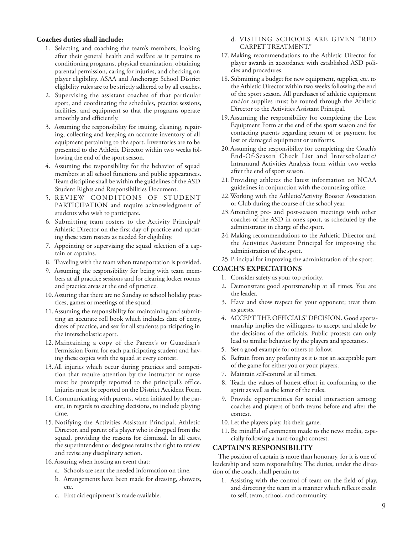#### **Coaches duties shall include:**

- 1. Selecting and coaching the team's members; looking after their general health and welfare as it pertains to conditioning programs, physical examination, obtaining parental permission, caring for injuries, and checking on player eligibility. ASAA and Anchorage School District eligibility rules are to be strictly adhered to by all coaches.
- 2. Supervising the assistant coaches of that particular sport, and coordinating the schedules, practice sessions, facilities, and equipment so that the programs operate smoothly and efficiently.
- 3. Assuming the responsibility for issuing, cleaning, repairing, collecting and keeping an accurate inventory of all equipment pertaining to the sport. Inventories are to be presented to the Athletic Director within two weeks following the end of the sport season.
- 4. Assuming the responsibility for the behavior of squad members at all school functions and public appearances. Team discipline shall be within the guidelines of the ASD Student Rights and Responsibilities Document.
- 5. REVIEW CONDITIONS OF STUDENT PARTICIPATION and require acknowledgment of students who wish to participate.
- 6. Submitting team rosters to the Activity Principal/ Athletic Director on the first day of practice and updating these team rosters as needed for eligibility.
- 7. Appointing or supervising the squad selection of a captain or captains.
- 8. Traveling with the team when transportation is provided.
- 9. Assuming the responsibility for being with team members at all practice sessions and for clearing locker rooms and practice areas at the end of practice.
- 10.Assuring that there are no Sunday or school holiday practices, games or meetings of the squad.
- 11.Assuming the responsibility for maintaining and submitting an accurate roll book which includes date of entry, dates of practice, and sex for all students participating in the interscholastic sport.
- 12. Maintaining a copy of the Parent's or Guardian's Permission Form for each participating student and having these copies with the squad at every contest.
- 13.All injuries which occur during practices and competition that require attention by the instructor or nurse must be promptly reported to the principal's office. Injuries must be reported on the District Accident Form.
- 14. Communicating with parents, when initiated by the parent, in regards to coaching decisions, to include playing time.
- 15. Notifying the Activities Assistant Principal, Athletic Director, and parent of a player who is dropped from the squad, providing the reasons for dismissal. In all cases, the superintendent or designee retains the right to review and revise any disciplinary action.
- 16.Assuring when hosting an event that:
	- a. Schools are sent the needed information on time.
	- b. Arrangements have been made for dressing, showers, etc.
	- c. First aid equipment is made available.
- d. VISITING SCHOOLS ARE GIVEN "RED CARPET TREATMENT."
- 17. Making recommendations to the Athletic Director for player awards in accordance with established ASD policies and procedures.
- 18. Submitting a budget for new equipment, supplies, etc. to the Athletic Director within two weeks following the end of the sport season. All purchases of athletic equipment and/or supplies must be routed through the Athletic Director to the Activities Assistant Principal.
- 19.Assuming the responsibility for completing the Lost Equipment Form at the end of the sport season and for contacting parents regarding return of or payment for lost or damaged equipment or uniforms.
- 20.Assuming the responsibility for completing the Coach's End-Of-Season Check List and Interscholastic/ Intramural Activities Analysis form within two weeks after the end of sport season.
- 21.Providing athletes the latest information on NCAA guidelines in conjunction with the counseling office.
- 22.Working with the Athletic/Activity Booster Association or Club during the course of the school year.
- 23.Attending pre- and post-season meetings with other coaches of the ASD in one's sport, as scheduled by the administrator in charge of the sport.
- 24.Making recommendations to the Athletic Director and the Activities Assistant Principal for improving the administration of the sport.
- 25.Principal for improving the administration of the sport.

#### **COACH'S EXPECTATIONS**

- 1. Consider safety as your top priority.
- 2. Demonstrate good sportsmanship at all times. You are the leader.
- 3. Have and show respect for your opponent; treat them as guests.
- 4. ACCEPT THE OFFICIALS' DECISION. Good sportsmanship implies the willingness to accept and abide by the decisions of the officials. Public protests can only lead to similar behavior by the players and spectators.
- 5. Set a good example for others to follow.
- 6. Refrain from any profanity as it is not an acceptable part of the game for either you or your players.
- 7. Maintain self-control at all times.
- 8. Teach the values of honest effort in conforming to the spirit as well as the letter of the rules.
- 9. Provide opportunities for social interaction among coaches and players of both teams before and after the contest.
- 10. Let the players play. It's their game.
- 11. Be mindful of comments made to the news media, especially following a hard-fought contest.

#### **CAPTAIN'S RESPONSIBILITY**

The position of captain is more than honorary, for it is one of leadership and team responsibility. The duties, under the direction of the coach, shall pertain to:

1. Assisting with the control of team on the field of play, and directing the team in a manner which reflects credit to self, team, school, and community.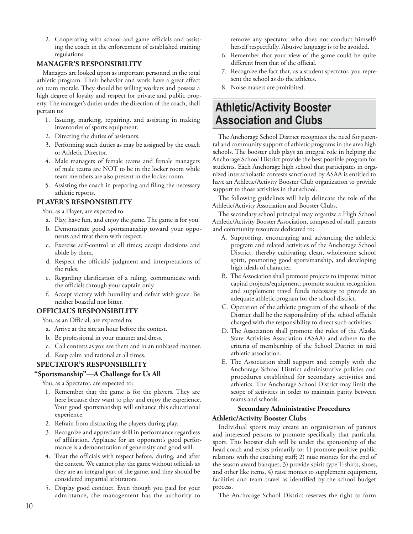<span id="page-15-0"></span>2. Cooperating with school and game officials and assisting the coach in the enforcement of established training regulations.

#### **MANAGER'S RESPONSIBILITY**

Managers are looked upon as important personnel in the total athletic program. Their behavior and work have a great affect on team morale. They should be willing workers and possess a high degree of loyalty and respect for private and public property. The manager's duties under the direction of the coach, shall pertain to:

- 1. Issuing, marking, repairing, and assisting in making inventories of sports equipment.
- 2. Directing the duties of assistants.
- 3. Performing such duties as may be assigned by the coach or Athletic Director.
- 4. Male managers of female teams and female managers of male teams are NOT to be in the locker room while team members are also present in the locker room.
- 5. Assisting the coach in preparing and filing the necessary athletic reports.

#### **PLAYER'S RESPONSIBILITY**

You, as a Player, are expected to:

- a. Play, have fun, and enjoy the game. The game is for you!
- b. Demonstrate good sportsmanship toward your opponents and treat them with respect.
- c. Exercise self-control at all times; accept decisions and abide by them.
- d. Respect the officials' judgment and interpretations of the rules.
- e. Regarding clarification of a ruling, communicate with the officials through your captain only.
- f. Accept victory with humility and defeat with grace. Be neither boastful nor bitter.

#### **OFFICIAL'S RESPONSIBILITY**

You, as an Official, are expected to:

- a. Arrive at the site an hour before the contest.
- b. Be professional in your manner and dress.
- c. Call contests as you see them and in an unbiased manner.

#### d. Keep calm and rational at all times.

#### **SPECTATOR'S RESPONSIBILITY**

#### **"Sportsmanship''—A Challenge for Us All**

You, as a Spectator, are expected to:

- 1. Remember that the game is for the players. They are here because they want to play and enjoy the experience. Your good sportsmanship will enhance this educational experience.
- 2. Refrain from distracting the players during play.
- 3. Recognize and appreciate skill in performance regardless of affiliation. Applause for an opponent's good performance is a demonstration of generosity and good will.
- 4. Treat the officials with respect before, during, and after the contest. We cannot play the game without officials as they are an integral part of the game, and they should be considered impartial arbitrators.
- 5. Display good conduct. Even though you paid for your admittance, the management has the authority to

remove any spectator who does not conduct himself/ herself respectfully. Abusive language is to be avoided.

- 6. Remember that your view of the game could be quite different from that of the official.
- 7. Recognize the fact that, as a student spectator, you represent the school as do the athletes.
- 8. Noise makers are prohibited.

## **Athletic/Activity Booster Association and Clubs**

The Anchorage School District recognizes the need for parental and community support of athletic programs in the area high schools. The booster club plays an integral role in helping the Anchorage School District provide the best possible program for students. Each Anchorage high school that participates in organized interscholastic contests sanctioned by ASAA is entitled to have an Athletic/Activity Booster Club organization to provide support to those activities in that school.

The following guidelines will help delineate the role of the Athletic/Activity Association and Booster Clubs.

The secondary school principal may organize a High School Athletic/Activity Booster Association, composed of staff, parents and community resources dedicated to:

- A. Supporting, encouraging and advancing the athletic program and related activities of the Anchorage School District, thereby cultivating clean, wholesome school spirit, promoting good sportsmanship, and developing high ideals of character.
- B. The Association shall promote projects to improve minor capital projects/equipment; promote student recognition and supplement travel funds necessary to provide an adequate athletic program for the school district.
- C. Operation of the athletic program of the schools of the District shall be the responsibility of the school officials charged with the responsibility to direct such activities.
- D. The Association shall promote the rules of the Alaska State Activities Association (ASAA) and adhere to the criteria of membership of the School District in said athletic association.
- E. The Association shall support and comply with the Anchorage School District administrative policies and procedures established for secondary activities and athletics. The Anchorage School District may limit the scope of activities in order to maintain parity between teams and schools.

#### **Secondary Administrative Procedures**

#### **Athletic/Activity Booster Clubs**

Individual sports may create an organization of parents and interested persons to promote specifically that particular sport. This booster club will be under the sponsorship of the head coach and exists primarily to: 1) promote positive public relations with the coaching staff; 2) raise monies for the end of the season award banquet; 3) provide spirit type T-shirts, shoes, and other like items, 4) raise monies to supplement equipment, facilities and team travel as identified by the school budget process.

The Anchorage School District reserves the right to form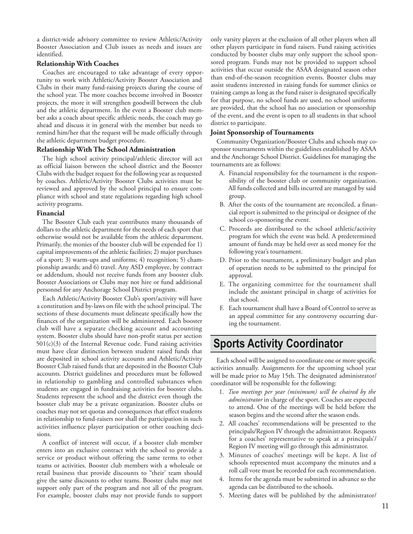<span id="page-16-0"></span>a district-wide advisory committee to review Athletic/Activity Booster Association and Club issues as needs and issues are identified.

#### **Relationship With Coaches**

Coaches are encouraged to take advantage of every opportunity to work with Athletic/Activity Booster Association and Clubs in their many fund-raising projects during the course of the school year. The more coaches become involved in Booster projects, the more it will strengthen goodwill between the club and the athletic department. In the event a Booster club member asks a coach about specific athletic needs, the coach may go ahead and discuss it in general with the member but needs to remind him/her that the request will be made officially through the athletic department budget procedure.

#### **Relationship With The School Administration**

The high school activity principal/athletic director will act as official liaison between the school district and the Booster Clubs with the budget request for the following year as requested by coaches. Athletic/Activity Booster Clubs activities must be reviewed and approved by the school principal to ensure compliance with school and state regulations regarding high school activity programs.

#### **Financial**

The Booster Club each year contributes many thousands of dollars to the athletic department for the needs of each sport that otherwise would not be available from the athletic department. Primarily, the monies of the booster club will be expended for 1) capital improvements of the athletic facilities; 2) major purchases of a sport; 3) warm-ups and uniforms; 4) recognition; 5) championship awards; and 6) travel. Any ASD employee, by contract or addendum, should not receive funds from any booster club. Booster Associations or Clubs may not hire or fund additional personnel for any Anchorage School District program.

Each Athletic/Activity Booster Club's sport/activity will have a constitution and by-laws on file with the school principal. The sections of these documents must delineate specifically how the finances of the organization will be administered. Each booster club will have a separate checking account and accounting system. Booster clubs should have non-profit status per section  $501(c)(3)$  of the Internal Revenue code. Fund raising activities must have clear distinction between student raised funds that are deposited in school activity accounts and Athletic/Activity Booster Club raised funds that are deposited in the Booster Club accounts. District guidelines and procedures must be followed in relationship to gambling and controlled substances when students are engaged in fundraising activities for booster clubs. Students represent the school and the district even though the booster club may be a private organization. Booster clubs or coaches may not set quotas and consequences that effect students in relationship to fund-raisers nor shall the participation in such activities influence player participation or other coaching decisions.

A conflict of interest will occur, if a booster club member enters into an exclusive contract with the school to provide a service or product without offering the same terms to other teams or activities. Booster club members with a wholesale or retail business that provide discounts to "their' team should give the same discounts to other teams. Booster clubs may not support only part of the program and not all of the program. For example, booster clubs may not provide funds to support

only varsity players at the exclusion of all other players when all other players participate in fund raisers. Fund raising activities conducted by booster clubs may only support the school sponsored program. Funds may not be provided to support school activities that occur outside the ASAA designated season other than end-of-the-season recognition events. Booster clubs may assist students interested in raising funds for summer clinics or training camps as long as the fund raiser is designated specifically for that purpose, no school funds are used, no school uniforms are provided, that the school has no association or sponsorship of the event, and the event is open to all students in that school district to participate.

#### **Joint Sponsorship of Tournaments**

Community Organization/Booster Clubs and schools may cosponsor tournaments within the guidelines established by ASAA and the Anchorage School District. Guidelines for managing the tournaments are as follows:

- A. Financial responsibility for the tournament is the responsibility of the booster club or community organization. All funds collected and bills incurred are managed by said group.
- B. After the costs of the tournament are reconciled, a financial report is submitted to the principal or designee of the school co-sponsoring the event.
- C. Proceeds are distributed to the school athletic/activity program for which the event was held. A predetermined amount of funds may be held over as seed money for the following year's tournament.
- D. Prior to the tournament, a preliminary budget and plan of operation needs to be submitted to the principal for approval.
- E. The organizing committee for the tournament shall include the assistant principal in charge of activities for that school.
- F. Each tournament shall have a Board of Control to serve as an appeal committee for any controversy occurring during the tournament.

## **Sports Activity Coordinator**

Each school will be assigned to coordinate one or more specific activities annually. Assignments for the upcoming school year will be made prior to May 15th. The designated administrator/ coordinator will be responsible for the following:

- 1. *Two meetings per year (minimum) will be chaired by the administrator* in charge of the sport. Coaches are expected to attend. One of the meetings will be held before the season begins and the second after the season ends.
- 2. All coaches' recommendations will be presented to the principals/Region IV through the administrator. Requests for a coaches' representative to speak at a principals'/ Region IV meeting will go through this administrator.
- 3. Minutes of coaches' meetings will be kept. A list of schools represented must accompany the minutes and a roll call vote must be recorded for each recommendation.
- 4. Items for the agenda must be submitted in advance so the agenda can be distributed to the schools.
- 5. Meeting dates will be published by the administrator/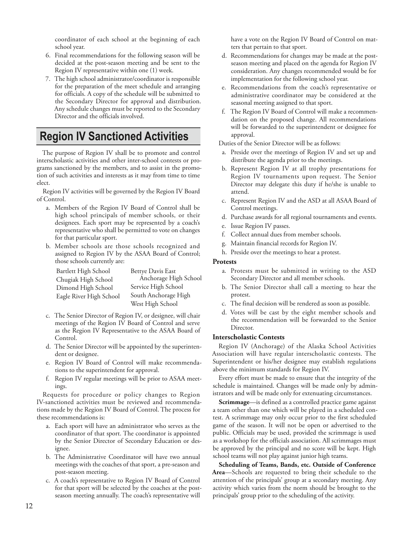<span id="page-17-0"></span>coordinator of each school at the beginning of each school year.

- 6. Final recommendations for the following season will be decided at the post-season meeting and be sent to the Region IV representative within one (1) week.
- 7. The high school administrator/coordinator is responsible for the preparation of the meet schedule and arranging for officials. A copy of the schedule will be submitted to the Secondary Director for approval and distribution. Any schedule changes must be reported to the Secondary Director and the officials involved.

## **Region IV Sanctioned Activities**

The purpose of Region IV shall be to promote and control interscholastic activities and other inter-school contests or programs sanctioned by the members, and to assist in the promotion of such activities and interests as it may from time to time elect.

Region IV activities will be governed by the Region IV Board of Control.

- a. Members of the Region IV Board of Control shall be high school principals of member schools, or their designees. Each sport may be represented by a coach's representative who shall be permitted to vote on changes for that particular sport.
- b. Member schools are those schools recognized and assigned to Region IV by the ASAA Board of Control; those schools currently are:

| Bartlett High School    | <b>Bettye Davis East</b> |
|-------------------------|--------------------------|
| Chugiak High School     | Anchorage High School    |
| Dimond High School      | Service High School      |
| Eagle River High School | South Anchorage High     |
|                         | West High School         |

- c. The Senior Director of Region IV, or designee, will chair meetings of the Region IV Board of Control and serve as the Region IV Representative to the ASAA Board of Control.
- d. The Senior Director will be appointed by the superintendent or designee.
- e. Region IV Board of Control will make recommendations to the superintendent for approval.
- f. Region IV regular meetings will be prior to ASAA meetings.

Requests for procedure or policy changes to Region IV-sanctioned activities must be reviewed and recommendations made by the Region IV Board of Control. The process for these recommendations is:

- a. Each sport will have an administrator who serves as the coordinator of that sport. The coordinator is appointed by the Senior Director of Secondary Education or designee.
- b. The Administrative Coordinator will have two annual meetings with the coaches of that sport, a pre-season and post-season meeting.
- c. A coach's representative to Region IV Board of Control for that sport will be selected by the coaches at the postseason meeting annually. The coach's representative will

have a vote on the Region IV Board of Control on matters that pertain to that sport.

- d. Recommendations for changes may be made at the postseason meeting and placed on the agenda for Region IV consideration. Any changes recommended would be for implementation for the following school year.
- e. Recommendations from the coach's representative or administrative coordinator may be considered at the seasonal meeting assigned to that sport.
- f. The Region IV Board of Control will make a recommendation on the proposed change. All recommendations will be forwarded to the superintendent or designee for approval.

Duties of the Senior Director will be as follows:

- a. Preside over the meetings of Region IV and set up and distribute the agenda prior to the meetings.
- b. Represent Region IV at all trophy presentations for Region IV tournaments upon request. The Senior Director may delegate this duty if he/she is unable to attend.
- c. Represent Region IV and the ASD at all ASAA Board of Control meetings.
- d. Purchase awards for all regional tournaments and events.
- e. Issue Region IV passes.
- f. Collect annual dues from member schools.
- g. Maintain financial records for Region IV.
- h. Preside over the meetings to hear a protest.

#### **Protests**

- a. Protests must be submitted in writing to the ASD Secondary Director and all member schools.
- b. The Senior Director shall call a meeting to hear the protest.
- c. The final decision will be rendered as soon as possible.
- d. Votes will be cast by the eight member schools and the recommendation will be forwarded to the Senior Director.

#### **Interscholastic Contests**

Region IV (Anchorage) of the Alaska School Activities Association will have regular interscholastic contests. The Superintendent or his/her designee may establish regulations above the minimum standards for Region IV.

Every effort must be made to ensure that the integrity of the schedule is maintained. Changes will be made only by administrators and will be made only for extenuating circumstances.

**Scrimmage**—is defined as a controlled practice game against a team other than one which will be played in a scheduled contest. A scrimmage may only occur prior to the first scheduled game of the season. It will not be open or advertised to the public. Officials may be used, provided the scrimmage is used as a workshop for the officials association. All scrimmages must be approved by the principal and no score will be kept. High school teams will not play against junior high teams.

**Scheduling of Teams, Bands, etc. Outside of Conference Area**—Schools are requested to bring their schedule to the attention of the principals' group at a secondary meeting. Any activity which varies from the norm should be brought to the principals' group prior to the scheduling of the activity.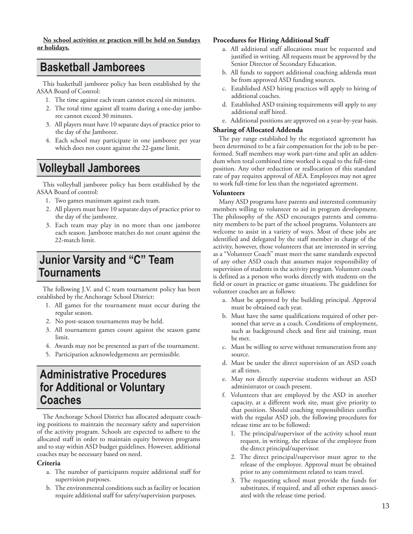<span id="page-18-0"></span>**No school activities or practices will be held on Sundays or holidays.**

## **Basketball Jamborees**

This basketball jamboree policy has been established by the ASAA Board of Control:

- 1. The time against each team cannot exceed six minutes.
- 2. The total time against all teams during a one-day jamboree cannot exceed 30 minutes.
- 3. All players must have 10 separate days of practice prior to the day of the Jamboree.
- 4. Each school may participate in one jamboree per year which does not count against the 22-game limit.

## **Volleyball Jamborees**

This volleyball jamboree policy has been established by the ASAA Board of control:

- 1. Two games maximum against each team.
- 2. All players must have 10 separate days of practice prior to the day of the jamboree.
- 3. Each team may play in no more than one jamboree each season. Jamboree matches do not count against the 22-match limit.

## **Junior Varsity and "C" Team Tournaments**

The following J.V. and C team tournament policy has been established by the Anchorage School District:

- 1. All games for the tournament must occur during the regular season.
- 2. No post-season tournaments may be held.
- 3. All tournament games count against the season game limit.
- 4. Awards may not be presented as part of the tournament.
- 5. Participation acknowledgements are permissible.

## **Administrative Procedures for Additional or Voluntary Coaches**

The Anchorage School District has allocated adequate coaching positions to maintain the necessary safety and supervision of the activity program. Schools are expected to adhere to the allocated staff in order to maintain equity between programs and to stay within ASD budget guidelines. However, additional coaches may be necessary based on need.

#### **Criteria**

- a. The number of participants require additional staff for supervision purposes.
- b. The environmental conditions such as facility or location require additional staff for safety/supervision purposes.

#### **Procedures for Hiring Additional Staff**

- a. All additional staff allocations must be requested and justified in writing. All requests must be approved by the Senior Director of Secondary Education.
- b. All funds to support additional coaching addenda must be from approved ASD funding sources.
- c. Established ASD hiring practices will apply to hiring of additional coaches.
- d. Established ASD training requirements will apply to any additional staff hired.
- e. Additional positions are approved on a year-by-year basis.

#### **Sharing of Allocated Addenda**

The pay range established by the negotiated agreement has been determined to be a fair compensation for the job to be performed. Staff members may work part-time and split an addendum when total combined time worked is equal to the full-time position. Any other reduction or reallocation of this standard rate of pay requires approval of AEA. Employees may not agree to work full-time for less than the negotiated agreement.

#### **Volunteers**

Many ASD programs have parents and interested community members willing to volunteer to aid in program development. The philosophy of the ASD encourages parents and community members to be part of the school programs. Volunteers are welcome to assist in a variety of ways. Most of these jobs are identified and delegated by the staff member in charge of the activity, however, those volunteers that are interested in serving as a "Volunteer Coach'' must meet the same standards expected of any other ASD coach that assumes major responsibility of supervision of students in the activity program. Volunteer coach is defined as a person who works directly with students on the field or court in practice or game situations. The guidelines for volunteer coaches are as follows:

- a. Must be approved by the building principal. Approval must be obtained each year.
- b. Must have the same qualifications required of other personnel that serve as a coach. Conditions of employment, such as background check and first aid training, must be met.
- c. Must be willing to serve without remuneration from any source.
- d. Must be under the direct supervision of an ASD coach at all times.
- e. May not directly supervise students without an ASD administrator or coach present.
- f. Volunteers that are employed by the ASD in another capacity, at a different work site, must give priority to that position. Should coaching responsibilities conflict with the regular ASD job, the following procedures for release time are to be followed:
	- 1. The principal/supervisor of the activity school must request, in writing, the release of the employee from the direct principal/supervisor.
	- 2. The direct principal/supervisor must agree to the release of the employee. Approval must be obtained prior to any commitment related to team travel.
	- 3. The requesting school must provide the funds for substitutes, if required, and all other expenses associated with the release time period.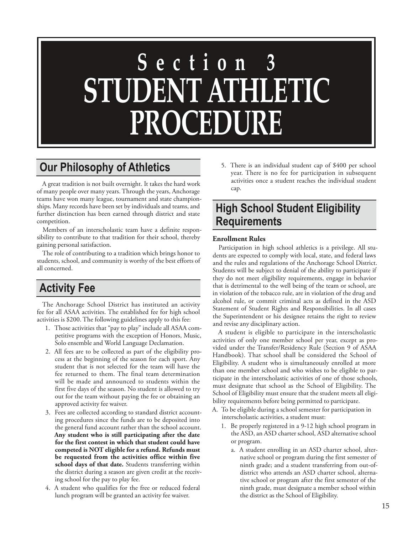# <span id="page-20-0"></span>**Section 3 STUDENT ATHLETIC PROCEDURE**

## **Our Philosophy of Athletics**

A great tradition is not built overnight. It takes the hard work of many people over many years. Through the years, Anchorage teams have won many league, tournament and state championships. Many records have been set by individuals and teams, and further distinction has been earned through district and state competition.

Members of an interscholastic team have a definite responsibility to contribute to that tradition for their school, thereby gaining personal satisfaction.

The role of contributing to a tradition which brings honor to students, school, and community is worthy of the best efforts of all concerned.

## **Activity Fee**

The Anchorage School District has instituted an activity fee for all ASAA activities. The established fee for high school activities is \$200. The following guidelines apply to this fee:

- 1. Those activities that "pay to play" include all ASAA competitive programs with the exception of Honors, Music, Solo ensemble and World Language Declamation.
- 2. All fees are to be collected as part of the eligibility process at the beginning of the season for each sport. Any student that is not selected for the team will have the fee returned to them. The final team determination will be made and announced to students within the first five days of the season. No student is allowed to try out for the team without paying the fee or obtaining an approved activity fee waiver.
- 3. Fees are collected according to standard district accounting procedures since the funds are to be deposited into the general fund account rather than the school account. **Any student who is still participating after the date for the first contest in which that student could have competed is NOT eligible for a refund. Refunds must be requested from the activities office within five school days of that date.** Students transferring within the district during a season are given credit at the receiving school for the pay to play fee.
- 4. A student who qualifies for the free or reduced federal lunch program will be granted an activity fee waiver.

5. There is an individual student cap of \$400 per school year. There is no fee for participation in subsequent activities once a student reaches the individual student cap.

## **High School Student Eligibility Requirements**

#### **Enrollment Rules**

Participation in high school athletics is a privilege. All students are expected to comply with local, state, and federal laws and the rules and regulations of the Anchorage School District. Students will be subject to denial of the ability to participate if they do not meet eligibility requirements, engage in behavior that is detrimental to the well being of the team or school, are in violation of the tobacco rule, are in violation of the drug and alcohol rule, or commit criminal acts as defined in the ASD Statement of Student Rights and Responsibilities. In all cases the Superintendent or his designee retains the right to review and revise any disciplinary action.

A student is eligible to participate in the interscholastic activities of only one member school per year, except as provided under the Transfer/Residency Rule (Section 9 of ASAA Handbook). That school shall be considered the School of Eligibility. A student who is simultaneously enrolled at more than one member school and who wishes to be eligible to participate in the interscholastic activities of one of those schools, must designate that school as the School of Eligibility. The School of Eligibility must ensure that the student meets all eligibility requirements before being permitted to participate.

- A. To be eligible during a school semester for participation in interscholastic activities, a student must:
	- 1. Be properly registered in a 9-12 high school program in the ASD, an ASD charter school, ASD alternative school or program.
		- a. A student enrolling in an ASD charter school, alternative school or program during the first semester of ninth grade; and a student transferring from out-ofdistrict who attends an ASD charter school, alternative school or program after the first semester of the ninth grade, must designate a member school within the district as the School of Eligibility.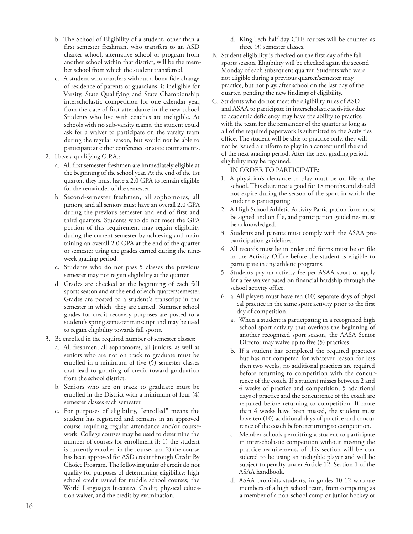- b. The School of Eligibility of a student, other than a first semester freshman, who transfers to an ASD charter school, alternative school or program from another school within that district, will be the member school from which the student transferred.
- <span id="page-21-0"></span>c. A student who transfers without a bona fide change of residence of parents or guardians, is ineligible for Varsity, State Qualifying and State Championship interscholastic competition for one calendar year, from the date of first attendance in the new school. Students who live with coaches are ineligible. At schools with no sub-varsity teams, the student could ask for a waiver to participate on the varsity team during the regular season, but would not be able to participate at either conference or state tournaments.
- 2. Have a qualifying G.P.A.:
	- a. All first semester freshmen are immediately eligible at the beginning of the school year. At the end of the 1st quarter, they must have a 2.0 GPA to remain eligible for the remainder of the semester.
	- b. Second-semester freshmen, all sophomores, all juniors, and all seniors must have an overall 2.0 GPA during the previous semester and end of first and third quarters. Students who do not meet the GPA portion of this requirement may regain eligibility during the current semester by achieving and maintaining an overall 2.0 GPA at the end of the quarter or semester using the grades earned during the nineweek grading period.
	- c. Students who do not pass 5 classes the previous semester may not regain eligibility at the quarter.
	- d. Grades are checked at the beginning of each fall sports season and at the end of each quarter/semester. Grades are posted to a student's transcript in the semester in which they are earned. Summer school grades for credit recovery purposes are posted to a student's spring semester transcript and may be used to regain eligibility towards fall sports.
- 3. Be enrolled in the required number of semester classes:
	- a. All freshmen, all sophomores, all juniors, as well as seniors who are not on track to graduate must be enrolled in a minimum of five (5) semester classes that lead to granting of credit toward graduation from the school district.
	- b. Seniors who are on track to graduate must be enrolled in the District with a minimum of four (4) semester classes each semester.
	- c. For purposes of eligibility, "enrolled" means the student has registered and remains in an approved course requiring regular attendance and/or coursework. College courses may be used to determine the number of courses for enrollment if: 1) the student is currently enrolled in the course, and 2) the course has been approved for ASD credit through Credit By Choice Program. The following units of credit do not qualify for purposes of determining eligibility: high school credit issued for middle school courses; the World Languages Incentive Credit; physical education waiver, and the credit by examination.

d. King Tech half day CTE courses will be counted as three (3) semester classes.

- B. Student eligibility is checked on the first day of the fall sports season. Eligibility will be checked again the second Monday of each subsequent quarter. Students who were not eligible during a previous quarter/semester may practice, but not play, after school on the last day of the quarter, pending the new findings of eligibility.
- C. Students who do not meet the eligibility rules of ASD and ASAA to participate in interscholastic activities due to academic deficiency may have the ability to practice with the team for the remainder of the quarter as long as all of the required paperwork is submitted to the Activities office. The student will be able to practice only, they will not be issued a uniform to play in a contest until the end of the next grading period. After the next grading period, eligibility may be regained.

IN ORDER TO PARTICIPATE:

- 1. A physician's clearance to play must be on file at the school. This clearance is good for 18 months and should not expire during the season of the sport in which the student is participating.
- 2. A High School Athletic Activity Participation form must be signed and on file, and participation guidelines must be acknowledged.
- 3. Students and parents must comply with the ASAA preparticipation guidelines.
- 4. All records must be in order and forms must be on file in the Activity Office before the student is eligible to participate in any athletic programs.
- 5. Students pay an activity fee per ASAA sport or apply for a fee waiver based on financial hardship through the school activity office.
- 6. a. All players must have ten (10) separate days of physical practice in the same sport activity prior to the first day of competition.
	- a. When a student is participating in a recognized high school sport activity that overlaps the beginning of another recognized sport season, the AASA Senior Director may waive up to five (5) practices.
	- b. If a student has completed the required practices but has not competed for whatever reason for less then two weeks, no additional practices are required before returning to competition with the concurrence of the coach. If a student misses between 2 and 4 weeks of practice and competition, 5 additional days of practice and the concurrence of the coach are required before returning to competition. If more than 4 weeks have been missed, the student must have ten (10) additional days of practice and concurrence of the coach before returning to competition.
	- c. Member schools permitting a student to participate in interscholastic competition without meeting the practice requirements of this section will be considered to be using an ineligible player and will be subject to penalty under Article 12, Section 1 of the ASAA handbook.
	- d. ASAA prohibits students, in grades 10-12 who are members of a high school team, from competing as a member of a non-school comp or junior hockey or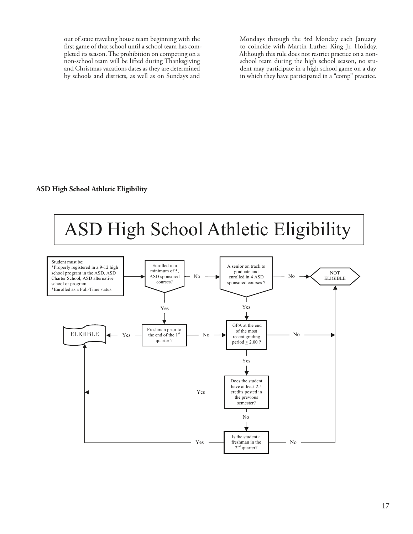out of state traveling house team beginning with the first game of that school until a school team has completed its season. The prohibition on competing on a non-school team will be lifted during Thanksgiving and Christmas vacations dates as they are determined by schools and districts, as well as on Sundays and

Mondays through the 3rd Monday each January to coincide with Martin Luther King Jr. Holiday. Although this rule does not restrict practice on a nonschool team during the high school season, no student may participate in a high school game on a day in which they have participated in a "comp" practice.

#### **ASD High School Athletic Eligibility**

## ASD High School Athletic Eligibility

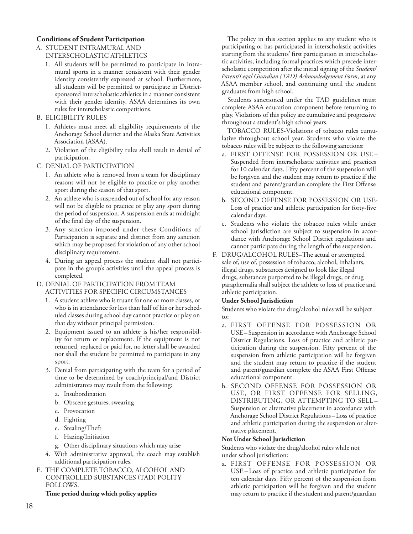#### **Conditions of Student Participation**

- A. STUDENT INTRAMURAL AND INTERSCHOLASTIC ATHLETICS
	- 1. All students will be permitted to participate in intramural sports in a manner consistent with their gender identity consistently expressed at school. Furthermore, all students will be permitted to participate in Districtsponsored interscholastic athletics in a manner consistent with their gender identity. ASAA determines its own rules for interscholastic competitions.
- B. ELIGIBILITY RULES
	- 1. Athletes must meet all eligibility requirements of the Anchorage School district and the Alaska State Activities Association (ASAA).
	- 2. Violation of the eligibility rules shall result in denial of participation.
- C. DENIAL OF PARTICIPATION
	- 1. An athlete who is removed from a team for disciplinary reasons will not be eligible to practice or play another sport during the season of that sport.
	- 2. An athlete who is suspended out of school for any reason will not be eligible to practice or play any sport during the period of suspension. A suspension ends at midnight of the final day of the suspension.
	- 3. Any sanction imposed under these Conditions of Participation is separate and distinct from any sanction which may be proposed for violation of any other school disciplinary requirement.
	- 4. During an appeal process the student shall not participate in the group's activities until the appeal process is completed.

#### D. DENIAL OF PARTICIPATION FROM TEAM ACTIVITIES FOR SPECIFIC CIRCUMSTANCES

- 1. A student athlete who is truant for one or more classes, or who is in attendance for less than half of his or her scheduled classes during school day cannot practice or play on that day without principal permission.
- 2. Equipment issued to an athlete is his/her responsibility for return or replacement. If the equipment is not returned, replaced or paid for, no letter shall be awarded nor shall the student be permitted to participate in any sport.
- 3. Denial from participating with the team for a period of time to be determined by coach/principal/and District administrators may result from the following:
	- a. Insubordination
	- b. Obscene gestures; swearing
	- c. Provocation
	- d. Fighting
	- e. Stealing/Theft
	- f. Hazing/Initiation
	- g. Other disciplinary situations which may arise
- 4. With administrative approval, the coach may establish additional participation rules.
- E. THE COMPLETE TOBACCO, ALCOHOL AND CONTROLLED SUBSTANCES (TAD) POLITY FOLLOWS.

#### **Time period during which policy applies**

The policy in this section applies to any student who is participating or has participated in interscholastic activities starting from the students' first participation in interscholastic activities, including formal practices which precede interscholastic competition after the initial signing of the *Student/ Parent/Legal Guardian (TAD) Acknowledgement Form*, at any ASAA member school, and continuing until the student graduates from high school.

Students sanctioned under the TAD guidelines must complete ASAA education component before returning to play. Violations of this policy are cumulative and progressive throughout a student's high school years.

TOBACCO RULES-Violations of tobacco rules cumulative throughout school year. Students who violate the tobacco rules will be subject to the following sanctions:

- a. FIRST OFFENSE FOR POSSESSION OR USE Suspended from interscholastic activities and practices for 10 calendar days. Fifty percent of the suspension will be forgiven and the student may return to practice if the student and parent/guardian complete the First Offense educational component.
- b. SECOND OFFENSE FOR POSSESSION OR USE-Loss of practice and athletic participation for forty-five calendar days.
- c. Students who violate the tobacco rules while under school jurisdiction are subject to suspension in accordance with Anchorage School District regulations and cannot participate during the length of the suspension.
- F. DRUG/ALCOHOL RULES–The actual or attempted sale of, use of, possession of tobacco, alcohol, inhalants, illegal drugs, substances designed to look like illegal drugs, substances purported to be illegal drugs, or drug paraphernalia shall subject the athlete to loss of practice and athletic participation.

#### **Under School Jurisdiction**

Students who violate the drug/alcohol rules will be subject to:

- a. FIRST OFFENSE FOR POSSESSION OR USE– Suspension in accordance with Anchorage School District Regulations. Loss of practice and athletic participation during the suspension. Fifty percent of the suspension from athletic participation will be forgiven and the student may return to practice if the student and parent/guardian complete the ASAA First Offense educational component.
- b. SECOND OFFENSE FOR POSSESSION OR USE, OR FIRST OFFENSE FOR SELLING, DISTRIBUTING, OR ATTEMPTING TO SELL – Suspension or alternative placement in accordance with Anchorage School District Regulations–Loss of practice and athletic participation during the suspension or alternative placement.

#### **Not Under School Jurisdiction**

Students who violate the drug/alcohol rules while not under school jurisdiction:

a. FIRST OFFENSE FOR POSSESSION OR USE – Loss of practice and athletic participation for ten calendar days. Fifty percent of the suspension from athletic participation will be forgiven and the student may return to practice if the student and parent/guardian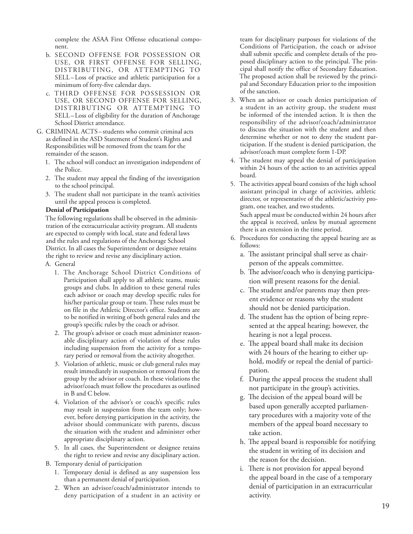complete the ASAA First Offense educational component.

- b. SECOND OFFENSE FOR POSSESSION OR USE, OR FIRST OFFENSE FOR SELLING, DISTRIBUTING, OR ATTEMPTING TO SELL–Loss of practice and athletic participation for a minimum of forty-five calendar days.
- c. THIRD OFFENSE FOR POSSESSION OR USE, OR SECOND OFFENSE FOR SELLING, DISTRIBUTING OR ATTEMPTING TO SELL–Loss of eligibility for the duration of Anchorage School District attendance.
- G. CRIMINAL ACTS –students who commit criminal acts as defined in the ASD Statement of Student's Rights and Responsibilities will be removed from the team for the remainder of the season.
	- 1. The school will conduct an investigation independent of the Police.
	- 2. The student may appeal the finding of the investigation to the school principal.
	- 3. The student shall not participate in the team's activities until the appeal process is completed.

#### **Denial of Participation**

The following regulations shall be observed in the administration of the extracurricular activity program. All students are expected to comply with local, state and federal laws and the rules and regulations of the Anchorage School District. In all cases the Superintendent or designee retains the right to review and revise any disciplinary action. A. General

- 1. The Anchorage School District Conditions of Participation shall apply to all athletic teams, music groups and clubs. In addition to these general rules each advisor or coach may develop specific rules for his/her particular group or team. These rules must be on file in the Athletic Director's office. Students are to be notified in writing of both general rules and the group's specific rules by the coach or advisor.
- 2. The group's advisor or coach must administer reasonable disciplinary action of violation of these rules including suspension from the activity for a temporary period or removal from the activity altogether.
- 3. Violation of athletic, music or club general rules may result immediately in suspension or removal from the group by the advisor or coach. In these violations the advisor/coach must follow the procedures as outlined in B and C below.
- 4. Violation of the advisor's or coach's specific rules may result in suspension from the team only; however, before denying participation in the activity, the advisor should communicate with parents, discuss the situation with the student and administer other appropriate disciplinary action.
- 5. In all cases, the Superintendent or designee retains the right to review and revise any disciplinary action.
- B. Temporary denial of participation
	- 1. Temporary denial is defined as any suspension less than a permanent denial of participation.
	- 2. When an advisor/coach/administrator intends to deny participation of a student in an activity or

team for disciplinary purposes for violations of the Conditions of Participation, the coach or advisor shall submit specific and complete details of the proposed disciplinary action to the principal. The principal shall notify the office of Secondary Education. The proposed action shall be reviewed by the principal and Secondary Education prior to the imposition of the sanction.

- 3. When an advisor or coach denies participation of a student in an activity group, the student must be informed of the intended action. It is then the responsibility of the advisor/coach/administrator to discuss the situation with the student and then determine whether or not to deny the student participation. If the student is denied participation, the advisor/coach must complete form 1-DP.
- 4. The student may appeal the denial of participation within 24 hours of the action to an activities appeal board.
- 5. The activities appeal board consists of the high school assistant principal in charge of activities, athletic director, or representative of the athletic/activity program, one teacher, and two students. Such appeal must be conducted within 24 hours after the appeal is received, unless by mutual agreement there is an extension in the time period.
- 6. Procedures for conducting the appeal hearing are as follows:
	- a. The assistant principal shall serve as chairperson of the appeals committee.
	- b. The advisor/coach who is denying participation will present reasons for the denial.
	- c. The student and/or parents may then present evidence or reasons why the student should not be denied participation.
	- d. The student has the option of being represented at the appeal hearing; however, the hearing is not a legal process.
	- e. The appeal board shall make its decision with 24 hours of the hearing to either uphold, modify or repeal the denial of participation.
	- f. During the appeal process the student shall not participate in the group's activities.
	- g. The decision of the appeal board will be based upon generally accepted parliamentary procedures with a majority vote of the members of the appeal board necessary to take action.
	- h. The appeal board is responsible for notifying the student in writing of its decision and the reason for the decision.
	- i. There is not provision for appeal beyond the appeal board in the case of a temporary denial of participation in an extracurricular activity.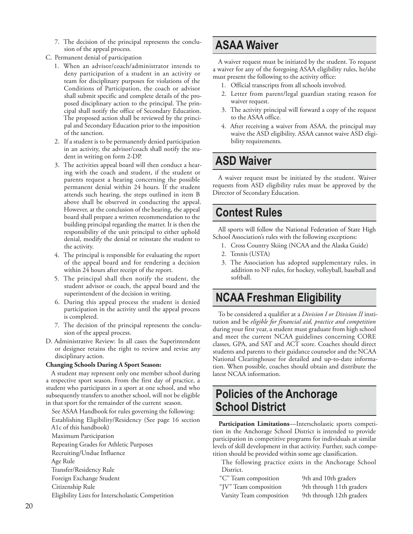- <span id="page-25-0"></span>7. The decision of the principal represents the conclusion of the appeal process.
- C. Permanent denial of participation
	- 1. When an advisor/coach/administrator intends to deny participation of a student in an activity or team for disciplinary purposes for violations of the Conditions of Participation, the coach or advisor shall submit specific and complete details of the proposed disciplinary action to the principal. The principal shall notify the office of Secondary Education. The proposed action shall be reviewed by the principal and Secondary Education prior to the imposition of the sanction.
	- 2. If a student is to be permanently denied participation in an activity, the advisor/coach shall notify the student in writing on form 2-DP.
	- 3. The activities appeal board will then conduct a hearing with the coach and student, if the student or parents request a hearing concerning the possible permanent denial within 24 hours. If the student attends such hearing, the steps outlined in item B above shall be observed in conducting the appeal. However, at the conclusion of the hearing, the appeal board shall prepare a written recommendation to the building principal regarding the matter. It is then the responsibility of the unit principal to either uphold denial, modify the denial or reinstate the student to the activity.
	- 4. The principal is responsible for evaluating the report of the appeal board and for rendering a decision within 24 hours after receipt of the report.
	- 5. The principal shall then notify the student, the student advisor or coach, the appeal board and the superintendent of the decision in writing.
	- 6. During this appeal process the student is denied participation in the activity until the appeal process is completed.
	- 7. The decision of the principal represents the conclusion of the appeal process.
- D. Administrative Review: In all cases the Superintendent or designee retains the right to review and revise any disciplinary action.

#### **Changing Schools During A Sport Season:**

A student may represent only one member school during a respective sport season. From the first day of practice, a student who participates in a sport at one school, and who subsequently transfers to another school, will not be eligible in that sport for the remainder of the current season.

See ASAA Handbook for rules governing the following:

Establishing Eligibility/Residency (See [page 16](#page-21-0) section A1c of this handbook)

Maximum Participation

Repeating Grades for Athletic Purposes Recruiting/Undue Influence Age Rule Transfer/Residency Rule Foreign Exchange Student Citizenship Rule

Eligibility Lists for Interscholastic Competition

## **ASAA Waiver**

A waiver request must be initiated by the student. To request a waiver for any of the foregoing ASAA eligibility rules, he/she must present the following to the activity office:

- 1. Official transcripts from all schools involved.
- 2. Letter from parent/legal guardian stating reason for waiver request.
- 3. The activity principal will forward a copy of the request to the ASAA office.
- 4. After receiving a waiver from ASAA, the principal may waive the ASD eligibility. ASAA cannot waive ASD eligibility requirements.

## **ASD Waiver**

A waiver request must be initiated by the student. Waiver requests from ASD eligibility rules must be approved by the Director of Secondary Education.

## **Contest Rules**

All sports will follow the National Federation of State High School Association's rules with the following exceptions:

- 1. Cross Country Skiing (NCAA and the Alaska Guide)
- 2. Tennis (USTA)
- 3. The Association has adopted supplementary rules, in addition to NF rules, for hockey, volleyball, baseball and softball.

## **NCAA Freshman Eligibility**

To be considered a qualifier at a *Division I or Division II* institution and be *eligible for financial aid, practice and competition*  during your first year, a student must graduate from high school and meet the current NCAA guidelines concerning CORE classes, GPA, and SAT and ACT score. Coaches should direct students and parents to their guidance counselor and the NCAA National Clearinghouse for detailed and up-to-date information. When possible, coaches should obtain and distribute the latest NCAA information.

## **Policies of the Anchorage School District**

**Participation Limitations**—Interscholastic sports competition in the Anchorage School District is intended to provide participation in competitive programs for individuals at similar levels of skill development in that activity. Further, such competition should be provided within some age classification.

The following practice exists in the Anchorage School District.

"C'' Team composition 9th and 10th graders "JV'' Team composition 9th through 11th graders Varsity Team composition 9th through 12th graders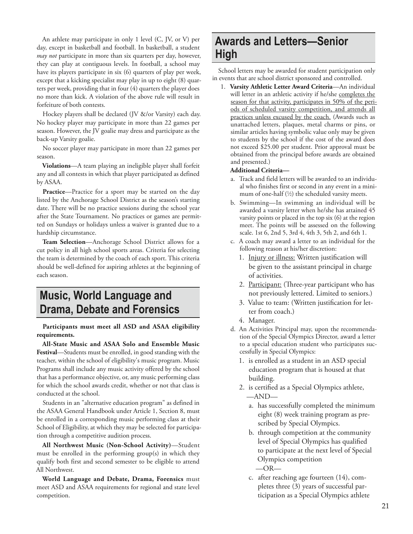<span id="page-26-0"></span>An athlete may participate in only 1 level (C, JV, or V) per day, except in basketball and football. In basketball, a student *may not* participate in more than six quarters per day, however, they can play at contiguous levels. In football, a school may have its players participate in six (6) quarters of play per week, except that a kicking specialist may play in up to eight (8) quarters per week, providing that in four (4) quarters the player does no more than kick. A violation of the above rule will result in forfeiture of both contests.

Hockey players shall be declared (JV &/or Varsity) each day. No hockey player may participate in more than 22 games per season. However, the JV goalie may dress and participate as the back-up Varsity goalie.

No soccer player may participate in more than 22 games per season.

**Violations**—A team playing an ineligible player shall forfeit any and all contests in which that player participated as defined by ASAA.

**Practice**—Practice for a sport may be started on the day listed by the Anchorage School District as the season's starting date. There will be no practice sessions during the school year after the State Tournament. No practices or games are permitted on Sundays or holidays unless a waiver is granted due to a hardship circumstance.

**Team Selection**—Anchorage School District allows for a cut policy in all high school sports areas. Criteria for selecting the team is determined by the coach of each sport. This criteria should be well-defined for aspiring athletes at the beginning of each season.

## **Music, World Language and Drama, Debate and Forensics**

**Participants must meet all ASD and ASAA eligibility requirements.**

**All-State Music and ASAA Solo and Ensemble Music Festival**—Students must be enrolled, in good standing with the teacher, within the school of eligibility's music program. Music Programs shall include any music activity offered by the school that has a performance objective, or, any music performing class for which the school awards credit, whether or not that class is conducted at the school.

Students in an "alternative education program" as defined in the ASAA General Handbook under Article 1, Section 8, must be enrolled in a corresponding music performing class at their School of Eligibility, at which they may be selected for participation through a competitive audition process.

**All Northwest Music (Non-School Activity)**—Student must be enrolled in the performing group(s) in which they qualify both first and second semester to be eligible to attend All Northwest.

**World Language and Debate, Drama, Forensics** must meet ASD and ASAA requirements for regional and state level competition.

## **Awards and Letters—Senior High**

School letters may be awarded for student participation only in events that are school district sponsored and controlled.

1. **Varsity Athletic Letter Award Criteria**—An individual will letter in an athletic activity if he/she completes the season for that activity, participates in 50% of the periods of scheduled varsity competition, and attends all practices unless excused by the coach. (Awards such as unattached letters, plaques, metal charms or pins, or similar articles having symbolic value only may be given to students by the school if the cost of the award does not exceed \$25.00 per student. Prior approval must be obtained from the principal before awards are obtained and presented.)

#### **Additional Criteria—**

- a. Track and field letters will be awarded to an individual who finishes first or second in any event in a minimum of one-half  $\left(\frac{1}{2}\right)$  the scheduled varsity meets.
- b. Swimming—In swimming an individual will be awarded a varsity letter when he/she has attained 45 varsity points or placed in the top six (6) at the region meet. The points will be assessed on the following scale. 1st 6, 2nd 5, 3rd 4, 4th 3, 5th 2, and 6th 1.
- c. A coach may award a letter to an individual for the following reason at his/her discretion:
	- 1. Injury or illness: Written justification will be given to the assistant principal in charge of activities.
	- 2. Participant: (Three-year participant who has not previously lettered. Limited to seniors.)
	- 3. Value to team: (Written justification for letter from coach.)
	- 4. Manager.
- d. An Activities Principal may, upon the recommendation of the Special Olympics Director, award a letter to a special education student who participates successfully in Special Olympics:
	- 1. is enrolled as a student in an ASD special education program that is housed at that building.
	- 2. is certified as a Special Olympics athlete, —AND
		- a. has successfully completed the minimum eight (8) week training program as prescribed by Special Olympics.
		- b. through competition at the community level of Special Olympics has qualified to participate at the next level of Special Olympics competition  $-OR-$
		- c. after reaching age fourteen (14), completes three (3) years of successful participation as a Special Olympics athlete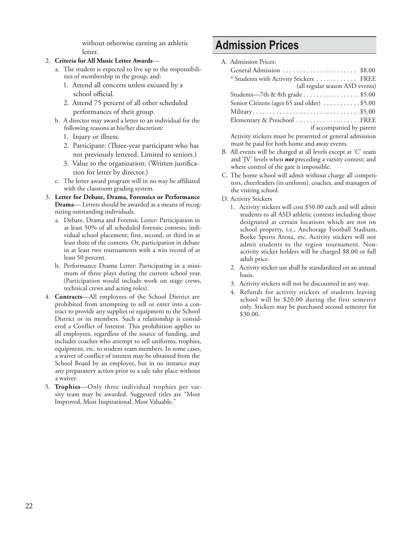without otherwise earning an athletic letter.

#### <span id="page-27-0"></span>2. **Criteria for All Music Letter Awards**—

- a. The student is expected to live up to the responsibilities of membership in the group, and:
	- 1. Attend all concerts unless excused by a school official.
	- 2. Attend 75 percent of all other scheduled performances of their group.
- b. A director may award a letter to an individual for the following reasons at his/her discretion:
	- 1. Injury or illness.
	- 2. Participant: (Three-year participant who has not previously lettered. Limited to seniors.)
	- 3. Value to the organization: (Written justification for letter by director.)
- c. The letter award program will in no way be affiliated with the classroom grading system.
- 3. **Letter for Debate, Drama, Forensics or Performance Drama**— Letters should be awarded as a means of recognizing outstanding individuals.
	- a. Debate, Drama and Forensic Letter: Participation in at least 50% of all scheduled forensic contests; individual school placement; first, second, or third in at least three of the contests. Or, participation in debate in at least two tournaments with a win record of at least 50 percent.
	- b. Performance Drama Letter: Participating in a minimum of three plays during the current school year. (Participation would include work on stage crews, technical crews and acting roles).
- 4. **Contracts**—All employees of the School District are prohibited from attempting to sell or enter into a contract to provide any supplies or equipment to the School District or its members. Such a relationship is considered a Conflict of Interest. This prohibition applies to all employees, regardless of the source of funding, and includes coaches who attempt to sell uniforms, trophies, equipment, etc. to student team members. In some cases, a waiver of conflict of interest may be obtained from the School Board by an employee, but in no instance may any preparatory action prior to a sale take place without a waiver.
- 5. **Trophies**—Only three individual trophies per varsity team may be awarded. Suggested titles are "Most Improved, Most Inspirational, Most Valuable.''

## **Admission Prices**

A. Admission Prices:

| General Admission  \$8.00                                       |
|-----------------------------------------------------------------|
|                                                                 |
| * Students with Activity Stickers  FREE                         |
| (all regular season ASD events)                                 |
| Students—7th & 8th grade $\dots \dots \dots \dots \dots$ \$5.00 |
| Senior Citizens (ages 65 and older) \$5.00                      |
| Military\$5.00                                                  |
| Elementary & Preschool FREE                                     |
| if accompanied by parent                                        |
| Activity stickers must be presented or general admission        |

Activity stickers must be presented or general and a must be paid for both home and away events.

- B. All events will be charged at all levels except at 'C' team and 'JV' levels when *not* preceding a varsity contest; and where control of the gate is impossible.
- C. The home school will admit without charge all competitors, cheerleaders (in uniform), coaches, and managers of the visiting school.
- D. Activity Stickers
	- 1. Activity stickers will cost \$50.00 each and will admit students to all ASD athletic contests including those designated at certain locations which are not on school property, i.e., Anchorage Football Stadium, Boeke Sports Arena, etc. Activity stickers will not admit students to the region tournament. Nonactivity sticker holders will be charged \$8.00 or full adult price.
	- 2. Activity sticker use shall be standardized on an annual basis.
	- 3. Activity stickers will not be discounted in any way.
	- 4. Refunds for activity stickers of students leaving school will be \$20.00 during the first semester only. Stickers may be purchased second semester for \$30.00.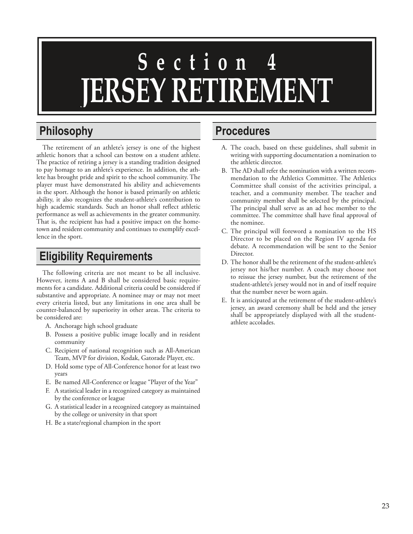## <span id="page-28-0"></span>**Section 4 JERSEY RETIREMENT**

## **Philosophy**

The retirement of an athlete's jersey is one of the highest athletic honors that a school can bestow on a student athlete. The practice of retiring a jersey is a standing tradition designed to pay homage to an athlete's experience. In addition, the athlete has brought pride and spirit to the school community. The player must have demonstrated his ability and achievements in the sport. Although the honor is based primarily on athletic ability, it also recognizes the student-athlete's contribution to high academic standards. Such an honor shall reflect athletic performance as well as achievements in the greater community. That is, the recipient has had a positive impact on the hometown and resident community and continues to exemplify excellence in the sport.

## **Eligibility Requirements**

The following criteria are not meant to be all inclusive. However, items A and B shall be considered basic requirements for a candidate. Additional criteria could be considered if substantive and appropriate. A nominee may or may not meet every criteria listed, but any limitations in one area shall be counter-balanced by superiority in other areas. The criteria to be considered are:

- A. Anchorage high school graduate
- B. Possess a positive public image locally and in resident community
- C. Recipient of national recognition such as All-American Team, MVP for division, Kodak, Gatorade Player, etc.
- D. Hold some type of All-Conference honor for at least two years
- E. Be named All-Conference or league "Player of the Year"
- F. A statistical leader in a recognized category as maintained by the conference or league
- G. A statistical leader in a recognized category as maintained by the college or university in that sport
- H. Be a state/regional champion in the sport

### **Procedures**

- A. The coach, based on these guidelines, shall submit in writing with supporting documentation a nomination to the athletic director.
- B. The AD shall refer the nomination with a written recommendation to the Athletics Committee. The Athletics Committee shall consist of the activities principal, a teacher, and a community member. The teacher and community member shall be selected by the principal. The principal shall serve as an ad hoc member to the committee. The committee shall have final approval of the nominee.
- C. The principal will foreword a nomination to the HS Director to be placed on the Region IV agenda for debate. A recommendation will be sent to the Senior Director.
- D. The honor shall be the retirement of the student-athlete's jersey not his/her number. A coach may choose not to reissue the jersey number, but the retirement of the student-athlete's jersey would not in and of itself require that the number never be worn again.
- E. It is anticipated at the retirement of the student-athlete's jersey, an award ceremony shall be held and the jersey shall be appropriately displayed with all the studentathlete accolades.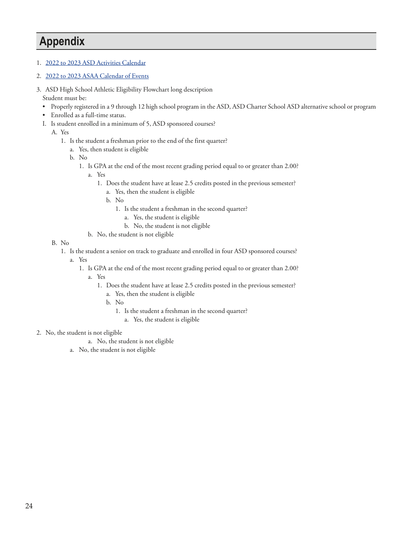## <span id="page-29-0"></span>**Appendix**

- 1. [2022 to 2023 ASD Activities Calendar](https://www.asdk12.org/cms/lib/AK02207157/Centricity/Domain/4/2022_24_01_22-23_Cultural.pdf)
- 2. [2022 to 2023 ASAA Calendar of Events](https://asaa.org/calendar/printable-calendars/)
- 3. ASD High School Athletic Eligibility Flowchart long description Student must be:
	- Properly registered in a 9 through 12 high school program in the ASD, ASD Charter School ASD alternative school or program
	- Enrolled as a full-time status.
	- I. Is student enrolled in a minimum of 5, ASD sponsored courses?
		- A. Yes
			- 1. Is the student a freshman prior to the end of the first quarter?
				- a. Yes, then student is eligible
				- b. No
					- 1. Is GPA at the end of the most recent grading period equal to or greater than 2.00?
						- a. Yes
							- 1. Does the student have at lease 2.5 credits posted in the previous semester?
								- a. Yes, then the student is eligible
								- b. No
									- 1. Is the student a freshman in the second quarter?
										- a. Yes, the student is eligible
										- b. No, the student is not eligible
						- b. No, the student is not eligible
		- B. No
			- 1. Is the student a senior on track to graduate and enrolled in four ASD sponsored courses?
				- a. Yes
					- 1. Is GPA at the end of the most recent grading period equal to or greater than 2.00?
						- a. Yes
							- 1. Does the student have at lease 2.5 credits posted in the previous semester?
								- a. Yes, then the student is eligible
								- b. No
									- 1. Is the student a freshman in the second quarter?
										- a. Yes, the student is eligible
- 2. No, the student is not eligible
	- a. No, the student is not eligible
	- a. No, the student is not eligible